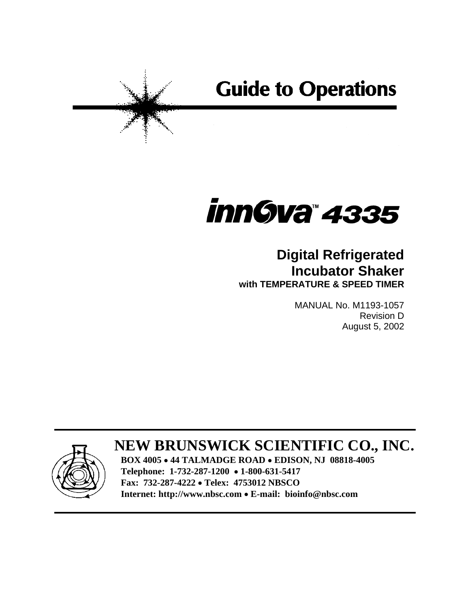# **Guide to Operations**



## **Digital Refrigerated Incubator Shaker with TEMPERATURE & SPEED TIM ER**

 MANUAL No. M1193-1057 Revision D August 5, 2002



 **NEW BRUNSWICK SCIENTIFIC CO., INC.** 

**BOX 4005** • **44 TALMADGE ROAD** • **EDISON, NJ 08818-4005 Telephone: 1-732-287-1200** • **1-800-631-5417 Fax: 732-287-4222** • **Telex: 4753012 NBSCO Internet: http://www.nbsc.com** • **E-mail: bioinfo@nbsc.com**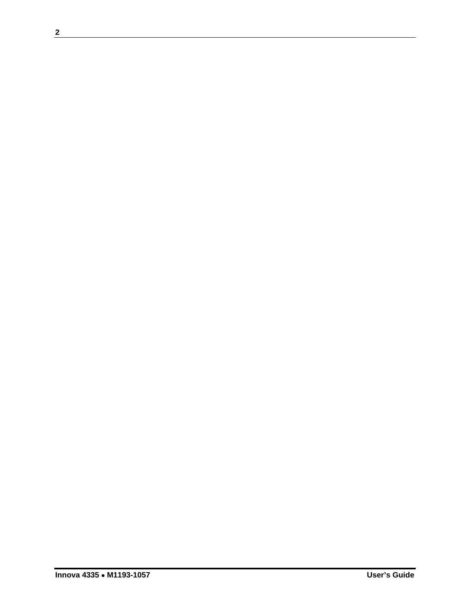<u> 1989 - Johann Barn, fransk politik (</u>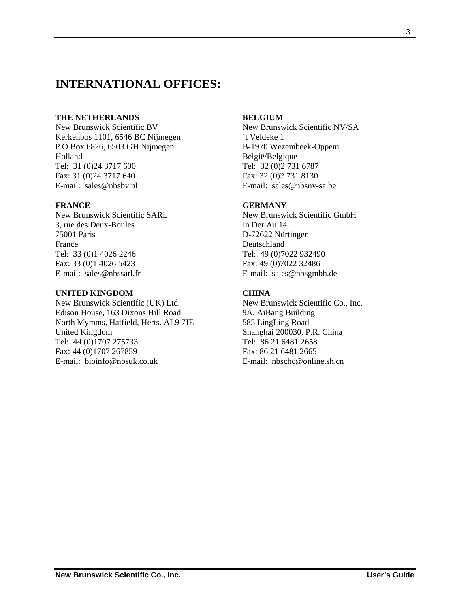### **INTERNATIONAL OFFICES:**

#### **THE NETHERLANDS**

New Brunswick Scientific BV Kerkenbos 1101, 6546 BC Nijmegen P.O Box 6826, 6503 GH Nijmegen Holland Tel: 31 (0)24 3717 600 Fax: 31 (0)24 3717 640 E-mail: sales@nbsbv.nl

#### **FRANCE**

New Brunswick Scientific SARL 3, rue des Deux-Boules 75001 Paris France Tel: 33 (0)1 4026 2246 Fax: 33 (0)1 4026 5423 E-mail: sales@nbssarl.fr

#### **UNITED KINGDOM**

New Brunswick Scientific (UK) Ltd. Edison House, 163 Dixons Hill Road North Mymms, Hatfield, Herts. AL9 7JE United Kingdom Tel: 44 (0)1707 275733 Fax: 44 (0)1707 267859 E-mail: bioinfo@nbsuk.co.uk

#### **BELGIUM**

New Brunswick Scientific NV/SA 't Veldeke 1 B-1970 Wezembeek-Oppem België/Belgique Tel: 32 (0)2 731 6787 Fax: 32 (0)2 731 8130 E-mail: sales@nbsnv-sa.be

#### **GERMANY**

New Brunswick Scientific GmbH In Der Au 14 D-72622 Nürtingen Deutschland Tel: 49 (0)7022 932490 Fax: 49 (0)7022 32486 E-mail: sales@nbsgmbh.de

#### **CHINA**

New Brunswick Scientific Co., Inc. 9A. AiBang Building 585 LingLing Road Shanghai 200030, P.R. China Tel: 86 21 6481 2658 Fax: 86 21 6481 2665 E-mail: nbschc@online.sh.cn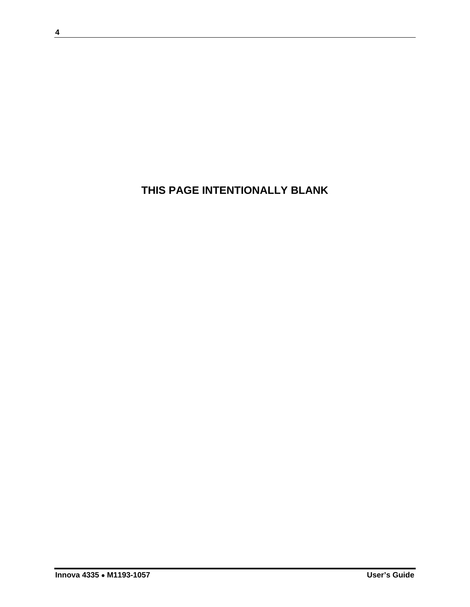**THIS PAGE INTENTIONALLY BLANK**

<u> 1989 - Johann Stoff, deutscher Stoffen und der Stoffen und der Stoffen und der Stoffen und der Stoffen und der</u>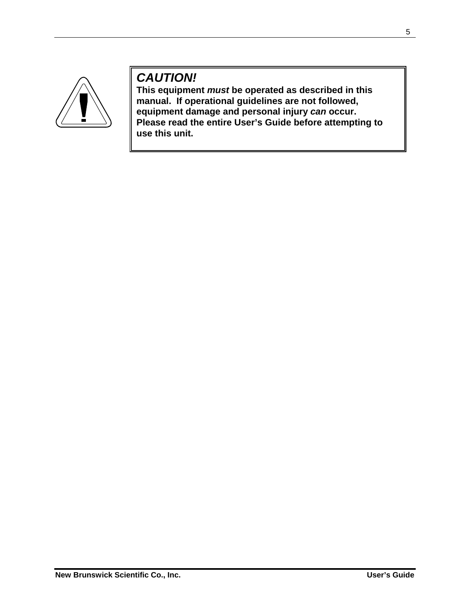

# *CAUTION!*

**This equipment** *must* **be operated as described in this manual. If operational guidelines are not followed, equipment damage and personal injury** *can* **occur. Please read the entire User's Guide before attempting to use this unit.**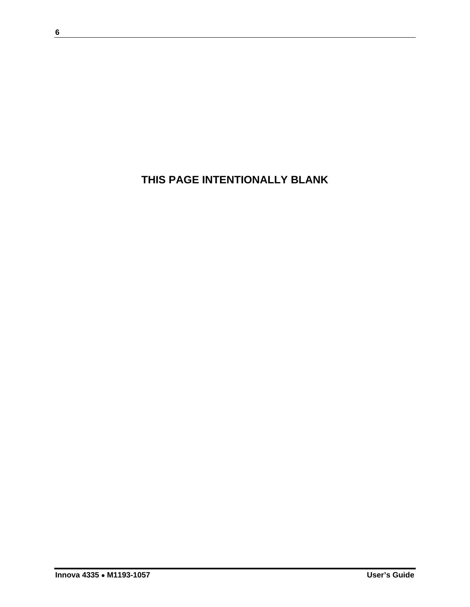**THIS PAGE INTENTIONALLY BLANK**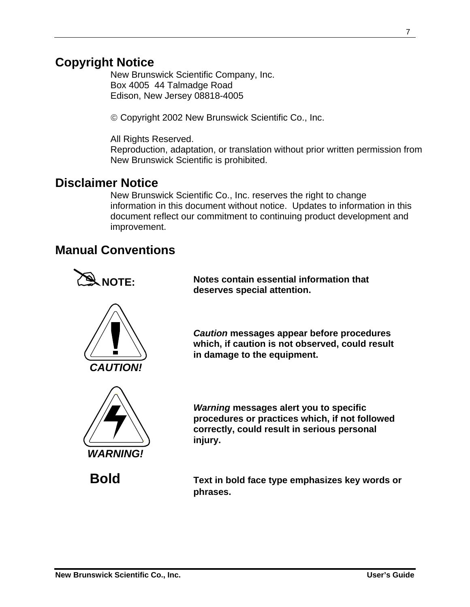### **Copyright Notice**

New Brunswick Scientific Company, Inc. Box 4005 44 Talmadge Road Edison, New Jersey 08818-4005

© Copyright 2002 New Brunswick Scientific Co., Inc.

All Rights Reserved.

Reproduction, adaptation, or translation without prior written permission from New Brunswick Scientific is prohibited.

### **Disclaimer Notice**

New Brunswick Scientific Co., Inc. reserves the right to change information in this document without notice. Updates to information in this document reflect our commitment to continuing product development and improvement.

### **Manual Conventions**



**Notes contain essential information that deserves special attention.** 

*Caution* **messages appear before procedures which, if caution is not observed, could result in damage to the equipment.** 



*CAUTION!*

*Warning* **messages alert you to specific procedures or practices which, if not followed correctly, could result in serious personal injury.** 

**Bold Text in bold face type emphasizes key words or phrases.**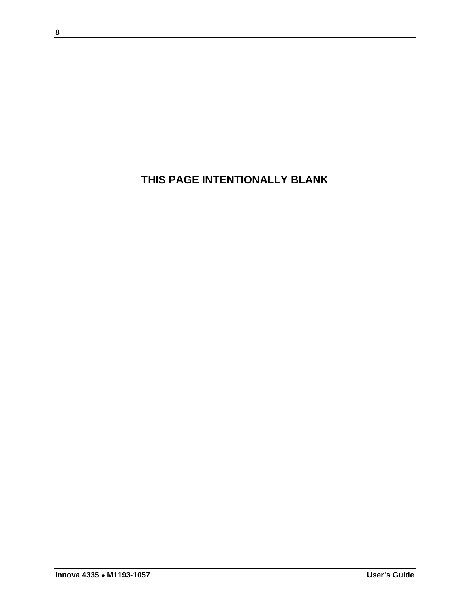**THIS PAGE INTENTIONALLY BLANK**

<u> 1989 - Johann Stoff, deutscher Stoffen und der Stoffen und der Stoffen und der Stoffen und der Stoffen und der</u>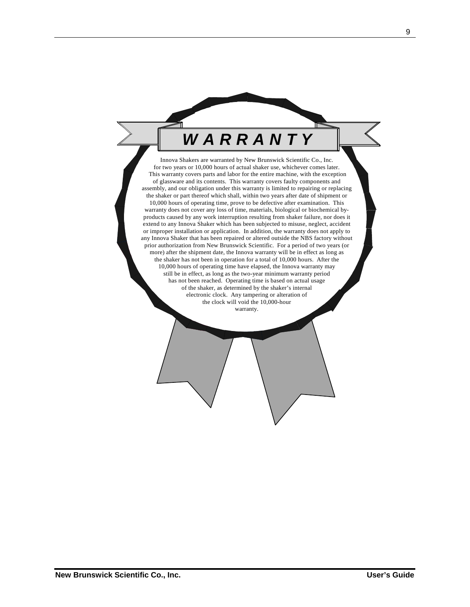

Innova Shakers are warranted by New Brunswick Scientific Co., Inc. for two years or 10,000 hours of actual shaker use, whichever comes later. This warranty covers parts and labor for the entire machine, with the exception of glassware and its contents. This warranty covers faulty components and assembly, and our obligation under this warranty is limited to repairing or replacing the shaker or part thereof which shall, within two years after date of shipment or 10,000 hours of operating time, prove to be defective after examination. This warranty does not cover any loss of time, materials, biological or biochemical byproducts caused by any work interruption resulting from shaker failure, nor does it extend to any Innova Shaker which has been subjected to misuse, neglect, accident or improper installation or application. In addition, the warranty does not apply to any Innova Shaker that has been repaired or altered outside the NBS factory without prior authorization from New Brunswick Scientific. For a period of two years (or more) after the shipment date, the Innova warranty will be in effect as long as the shaker has not been in operation for a total of 10,000 hours. After the 10,000 hours of operating time have elapsed, the Innova warranty may still be in effect, as long as the two-year minimum warranty period has not been reached. Operating time is based on actual usage of the shaker, as determined by the shaker's internal electronic clock. Any tampering or alteration of the clock will void the 10,000-hour warranty.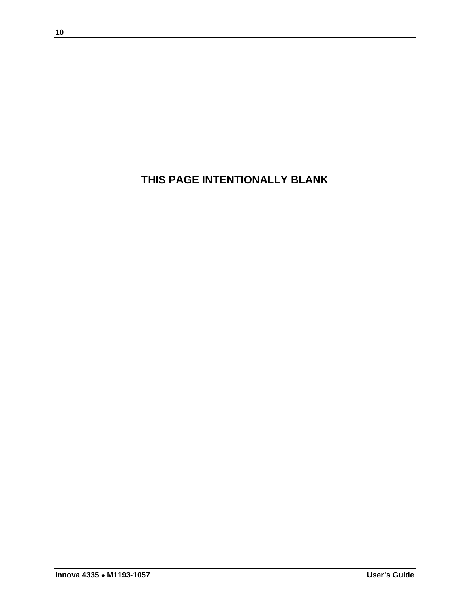**THIS PAGE INTENTIONALLY BLANK**

<u> 1980 - Johann Barn, mars ar breithinn ar chomhair an t-Alban ann an t-Alban ann an t-Alban ann an t-Alban an</u>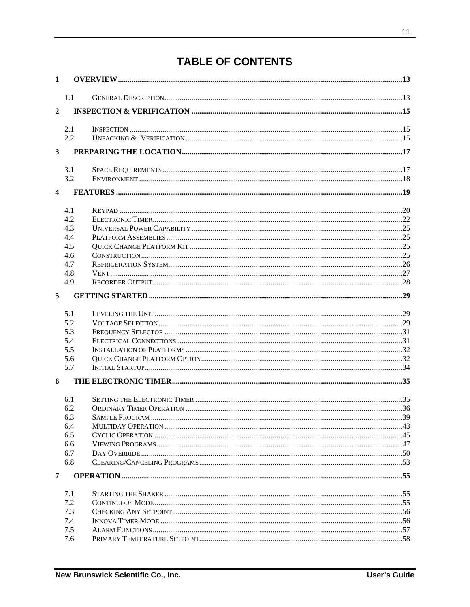# **TABLE OF CONTENTS**

| $\mathbf{1}$   |     |                       |     |
|----------------|-----|-----------------------|-----|
|                | 1.1 |                       |     |
| $\overline{2}$ |     |                       |     |
|                | 2.1 |                       |     |
|                | 2.2 |                       |     |
|                |     |                       |     |
| $\mathbf{3}$   |     |                       |     |
|                | 3.1 |                       |     |
|                | 3.2 |                       |     |
| 4              |     |                       |     |
|                |     |                       |     |
|                | 4.1 |                       |     |
|                | 4.2 |                       |     |
|                | 4.3 |                       |     |
|                | 4.4 |                       |     |
|                | 4.5 |                       |     |
|                | 4.6 |                       |     |
|                | 4.7 |                       |     |
|                | 4.8 |                       |     |
|                | 4.9 |                       |     |
| 5              |     |                       |     |
|                |     |                       |     |
|                | 5.1 |                       |     |
|                | 5.2 |                       |     |
|                | 5.3 |                       |     |
|                | 5.4 |                       |     |
|                | 5.5 |                       |     |
|                | 5.6 |                       |     |
|                | 5.7 |                       |     |
| 6              |     |                       |     |
|                | 6.1 |                       |     |
|                | 6.2 |                       |     |
|                | 6.3 | <b>SAMPLE PROGRAM</b> | .39 |
|                | 6.4 |                       |     |
|                | 6.5 |                       |     |
|                | 6.6 |                       |     |
|                | 6.7 |                       |     |
|                | 6.8 |                       |     |
| 7              |     |                       |     |
|                |     |                       |     |
|                | 7.1 |                       |     |
|                | 7.2 |                       |     |
|                | 7.3 |                       |     |
|                | 7.4 |                       |     |
|                | 7.5 |                       |     |
|                | 7.6 |                       |     |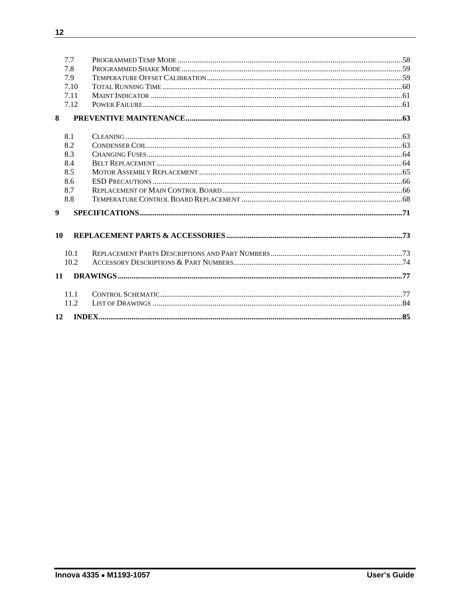| 7.7  |  |
|------|--|
| 7.8  |  |
| 7.9  |  |
| 7.10 |  |
| 7.11 |  |
| 7.12 |  |
| 8    |  |
| 8.1  |  |
| 8.2  |  |
| 8.3  |  |
| 8.4  |  |
| 8.5  |  |
| 8.6  |  |
| 8.7  |  |
| 8.8  |  |
|      |  |
| 9    |  |
|      |  |
| 10   |  |
| 10.1 |  |
| 10.2 |  |
| 11   |  |
|      |  |
| 11.1 |  |
| 11.2 |  |
| 12   |  |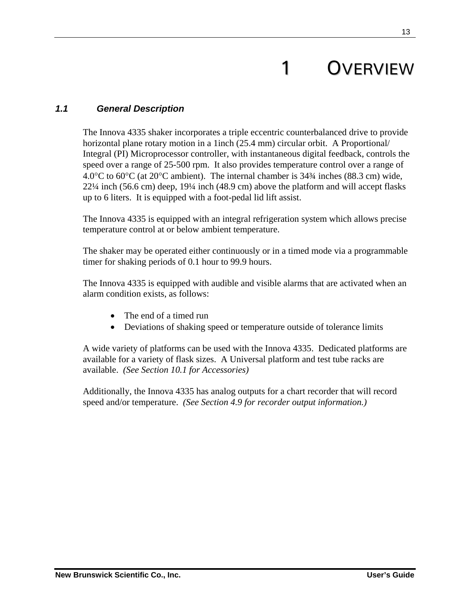# 1 OVERVIEW

#### <span id="page-12-0"></span>*1.1 General Description*

The Innova 4335 shaker incorporates a triple eccentric counterbalanced drive to provide horizontal plane rotary motion in a 1inch (25.4 mm) circular orbit. A Proportional/ Integral (PI) Microprocessor controller, with instantaneous digital feedback, controls the speed over a range of 25-500 rpm. It also provides temperature control over a range of 4.0°C to 60°C (at 20°C ambient). The internal chamber is 34¾ inches (88.3 cm) wide, 22¼ inch (56.6 cm) deep, 19¼ inch (48.9 cm) above the platform and will accept flasks up to 6 liters. It is equipped with a foot-pedal lid lift assist.

The Innova 4335 is equipped with an integral refrigeration system which allows precise temperature control at or below ambient temperature.

The shaker may be operated either continuously or in a timed mode via a programmable timer for shaking periods of 0.1 hour to 99.9 hours.

The Innova 4335 is equipped with audible and visible alarms that are activated when an alarm condition exists, as follows:

- The end of a timed run
- Deviations of shaking speed or temperature outside of tolerance limits

A wide variety of platforms can be used with the Innova 4335. Dedicated platforms are available for a variety of flask sizes. A Universal platform and test tube racks are available. *(See Section 10.1 for Accessories)*

Additionally, the Innova 4335 has analog outputs for a chart recorder that will record speed and/or temperature. *(See Section 4.9 for recorder output information.)*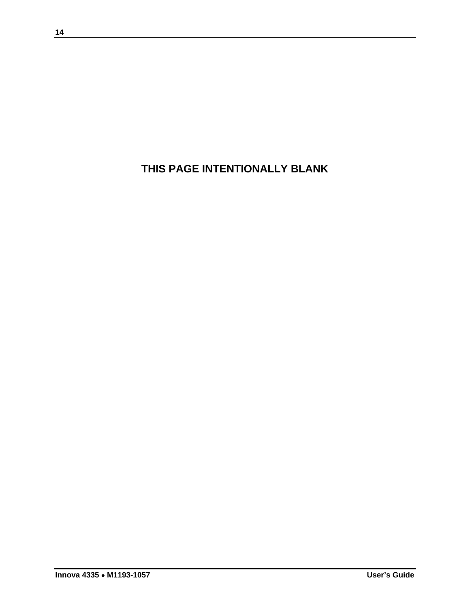**THIS PAGE INTENTIONALLY BLANK** 

<u> 1989 - Johann Stoff, deutscher Stoffen und der Stoffen und der Stoffen und der Stoffen und der Stoffen und der</u>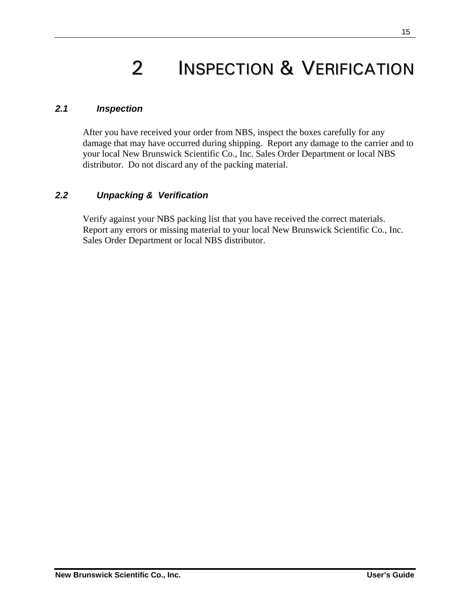# 2 INSPECTION & VERIFICATION

#### <span id="page-14-0"></span>*2.1 Inspection*

After you have received your order from NBS, inspect the boxes carefully for any damage that may have occurred during shipping. Report any damage to the carrier and to your local New Brunswick Scientific Co., Inc. Sales Order Department or local NBS distributor. Do not discard any of the packing material.

#### *2.2 Unpacking & Verification*

Verify against your NBS packing list that you have received the correct materials. Report any errors or missing material to your local New Brunswick Scientific Co., Inc. Sales Order Department or local NBS distributor.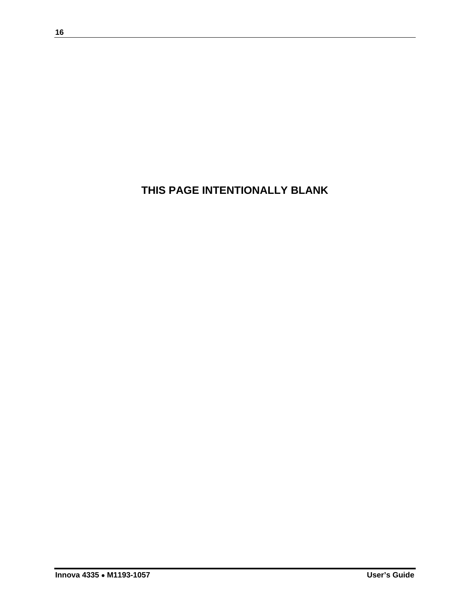**THIS PAGE INTENTIONALLY BLANK**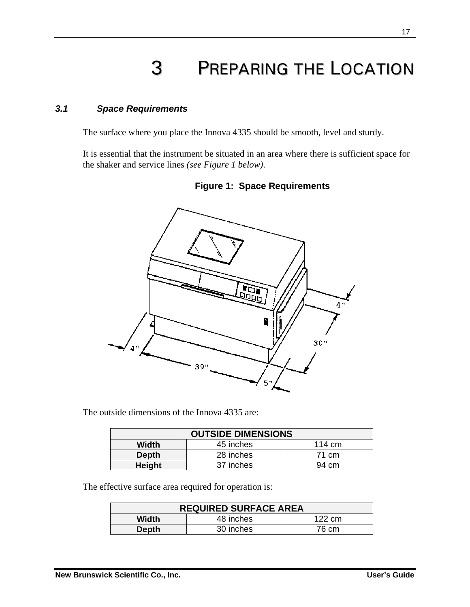# 3 PREPARING THE LOCATION

#### <span id="page-16-0"></span>*3.1 Space Requirements*

The surface where you place the Innova 4335 should be smooth, level and sturdy.

It is essential that the instrument be situated in an area where there is sufficient space for the shaker and service lines *(see Figure 1 below)*.



**Figure 1: Space Requirements** 

The outside dimensions of the Innova 4335 are:

| <b>OUTSIDE DIMENSIONS</b> |           |                 |
|---------------------------|-----------|-----------------|
| Width                     | 45 inches | 114 cm          |
| <b>Depth</b>              | 28 inches | 71 cm           |
| <b>Height</b>             | 37 inches | $94 \text{ cm}$ |

The effective surface area required for operation is:

| <b>REQUIRED SURFACE AREA</b> |           |                  |  |
|------------------------------|-----------|------------------|--|
| Width                        | 48 inches | $122 \text{ cm}$ |  |
| Depth                        | 30 inches | 76 cm            |  |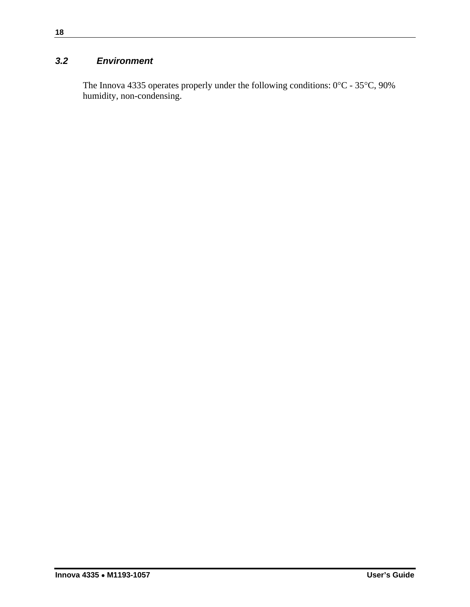### <span id="page-17-0"></span>*3.2 Environment*

The Innova 4335 operates properly under the following conditions: 0°C - 35°C, 90% humidity, non-condensing.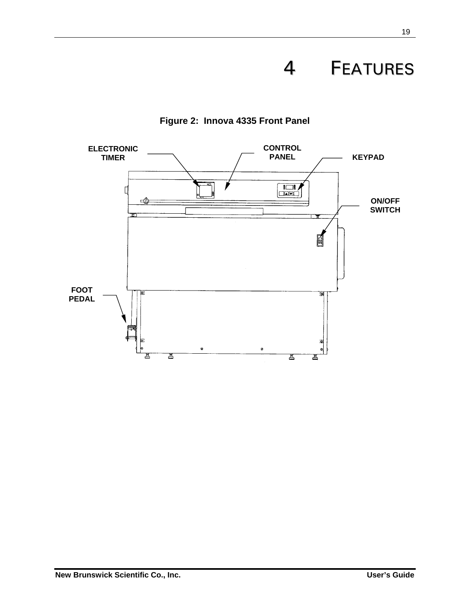# 4 FEATURES

<span id="page-18-0"></span>

**Figure 2: Innova 4335 Front Panel**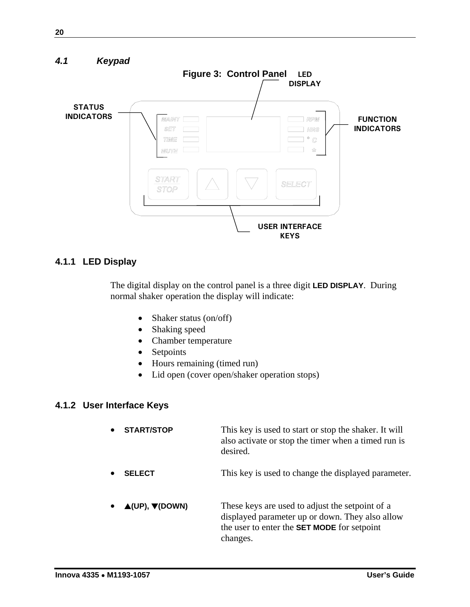#### <span id="page-19-0"></span>*4.1 Keypad*



#### **4.1.1 LED Display**

The digital display on the control panel is a three digit **LED DISPLAY**. During normal shaker operation the display will indicate:

- Shaker status (on/off)
- Shaking speed
- Chamber temperature
- Setpoints
- Hours remaining (timed run)
- Lid open (cover open/shaker operation stops)

#### **4.1.2 User Interface Keys**

- **START/STOP** This key is used to start or stop the shaker. It will also activate or stop the timer when a timed run is desired.
	- **SELECT** This key is used to change the displayed parameter.
- V**(UP),** W**(DOWN)** These keys are used to adjust the setpoint of a displayed parameter up or down. They also allow the user to enter the **SET MODE** for setpoint changes.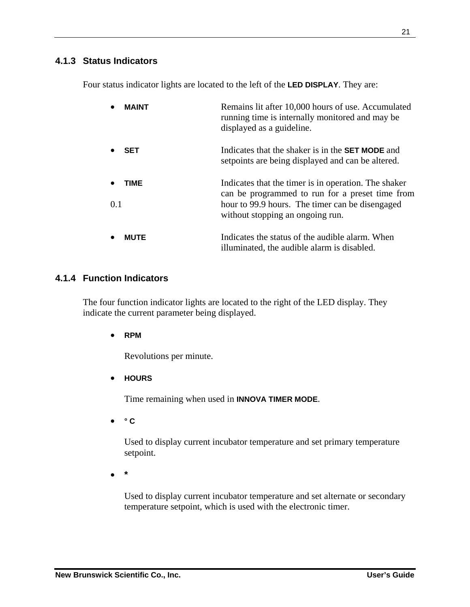#### **4.1.3 Status Indicators**

Four status indicator lights are located to the left of the **LED DISPLAY**. They are:

|     | MAINT       | Remains lit after 10,000 hours of use. Accumulated<br>running time is internally monitored and may be<br>displayed as a guideline.                                                             |
|-----|-------------|------------------------------------------------------------------------------------------------------------------------------------------------------------------------------------------------|
|     | SET         | Indicates that the shaker is in the <b>SET MODE</b> and<br>setpoints are being displayed and can be altered.                                                                                   |
| 0.1 | TIME        | Indicates that the timer is in operation. The shaker<br>can be programmed to run for a preset time from<br>hour to 99.9 hours. The timer can be disengaged<br>without stopping an ongoing run. |
|     | <b>MUTE</b> | Indicates the status of the audible alarm. When<br>illuminated, the audible alarm is disabled.                                                                                                 |

#### **4.1.4 Function Indicators**

The four function indicator lights are located to the right of the LED display. They indicate the current parameter being displayed.

• **RPM**

Revolutions per minute.

• **HOURS**

Time remaining when used in **INNOVA TIMER MODE**.

• **° C**

Used to display current incubator temperature and set primary temperature setpoint.

• **\***

Used to display current incubator temperature and set alternate or secondary temperature setpoint, which is used with the electronic timer.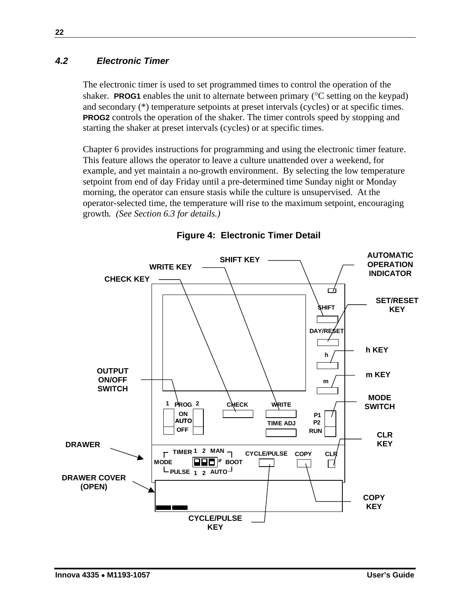#### <span id="page-21-0"></span>*4.2 Electronic Timer*

The electronic timer is used to set programmed times to control the operation of the shaker. **PROG1** enables the unit to alternate between primary (°C setting on the keypad) and secondary (\*) temperature setpoints at preset intervals (cycles) or at specific times. **PROG2** controls the operation of the shaker. The timer controls speed by stopping and starting the shaker at preset intervals (cycles) or at specific times.

Chapter 6 provides instructions for programming and using the electronic timer feature. This feature allows the operator to leave a culture unattended over a weekend, for example, and yet maintain a no-growth environment. By selecting the low temperature setpoint from end of day Friday until a pre-determined time Sunday night or Monday morning, the operator can ensure stasis while the culture is unsupervised. At the operator-selected time, the temperature will rise to the maximum setpoint, encouraging growth*. (See Section 6.3 for details.)*



**Figure 4: Electronic Timer Detail**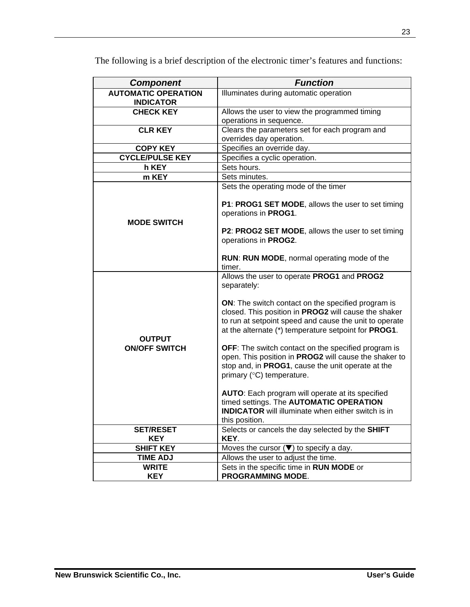| <b>Component</b>                               | <b>Function</b>                                                                                                                                                                                                                                                                                                                                                                                                                                                                                                                                                                                                                                         |
|------------------------------------------------|---------------------------------------------------------------------------------------------------------------------------------------------------------------------------------------------------------------------------------------------------------------------------------------------------------------------------------------------------------------------------------------------------------------------------------------------------------------------------------------------------------------------------------------------------------------------------------------------------------------------------------------------------------|
| <b>AUTOMATIC OPERATION</b><br><b>INDICATOR</b> | Illuminates during automatic operation                                                                                                                                                                                                                                                                                                                                                                                                                                                                                                                                                                                                                  |
| <b>CHECK KEY</b>                               | Allows the user to view the programmed timing                                                                                                                                                                                                                                                                                                                                                                                                                                                                                                                                                                                                           |
|                                                | operations in sequence.                                                                                                                                                                                                                                                                                                                                                                                                                                                                                                                                                                                                                                 |
| <b>CLR KEY</b>                                 | Clears the parameters set for each program and                                                                                                                                                                                                                                                                                                                                                                                                                                                                                                                                                                                                          |
|                                                | overrides day operation.                                                                                                                                                                                                                                                                                                                                                                                                                                                                                                                                                                                                                                |
| <b>COPY KEY</b>                                | Specifies an override day.                                                                                                                                                                                                                                                                                                                                                                                                                                                                                                                                                                                                                              |
| <b>CYCLE/PULSE KEY</b>                         | Specifies a cyclic operation.                                                                                                                                                                                                                                                                                                                                                                                                                                                                                                                                                                                                                           |
| h KEY                                          | Sets hours.                                                                                                                                                                                                                                                                                                                                                                                                                                                                                                                                                                                                                                             |
| m KEY                                          | Sets minutes.                                                                                                                                                                                                                                                                                                                                                                                                                                                                                                                                                                                                                                           |
|                                                | Sets the operating mode of the timer                                                                                                                                                                                                                                                                                                                                                                                                                                                                                                                                                                                                                    |
|                                                | P1: PROG1 SET MODE, allows the user to set timing<br>operations in PROG1.                                                                                                                                                                                                                                                                                                                                                                                                                                                                                                                                                                               |
| <b>MODE SWITCH</b>                             | P2: PROG2 SET MODE, allows the user to set timing<br>operations in PROG2.                                                                                                                                                                                                                                                                                                                                                                                                                                                                                                                                                                               |
|                                                | RUN: RUN MODE, normal operating mode of the<br>timer.                                                                                                                                                                                                                                                                                                                                                                                                                                                                                                                                                                                                   |
| <b>OUTPUT</b><br><b>ON/OFF SWITCH</b>          | Allows the user to operate PROG1 and PROG2<br>separately:<br>ON: The switch contact on the specified program is<br>closed. This position in PROG2 will cause the shaker<br>to run at setpoint speed and cause the unit to operate<br>at the alternate (*) temperature setpoint for PROG1.<br>OFF: The switch contact on the specified program is<br>open. This position in PROG2 will cause the shaker to<br>stop and, in PROG1, cause the unit operate at the<br>primary (°C) temperature.<br>AUTO: Each program will operate at its specified<br>timed settings. The AUTOMATIC OPERATION<br><b>INDICATOR</b> will illuminate when either switch is in |
|                                                | this position.                                                                                                                                                                                                                                                                                                                                                                                                                                                                                                                                                                                                                                          |
| <b>SET/RESET</b><br><b>KEY</b>                 | Selects or cancels the day selected by the SHIFT<br>KEY.                                                                                                                                                                                                                                                                                                                                                                                                                                                                                                                                                                                                |
|                                                |                                                                                                                                                                                                                                                                                                                                                                                                                                                                                                                                                                                                                                                         |
| <b>SHIFT KEY</b>                               | Moves the cursor $(\blacktriangledown)$ to specify a day.                                                                                                                                                                                                                                                                                                                                                                                                                                                                                                                                                                                               |
| <b>TIME ADJ</b>                                | Allows the user to adjust the time.                                                                                                                                                                                                                                                                                                                                                                                                                                                                                                                                                                                                                     |
| <b>WRITE</b>                                   | Sets in the specific time in RUN MODE or                                                                                                                                                                                                                                                                                                                                                                                                                                                                                                                                                                                                                |
| <b>KEY</b>                                     | <b>PROGRAMMING MODE.</b>                                                                                                                                                                                                                                                                                                                                                                                                                                                                                                                                                                                                                                |

The following is a brief description of the electronic timer's features and functions: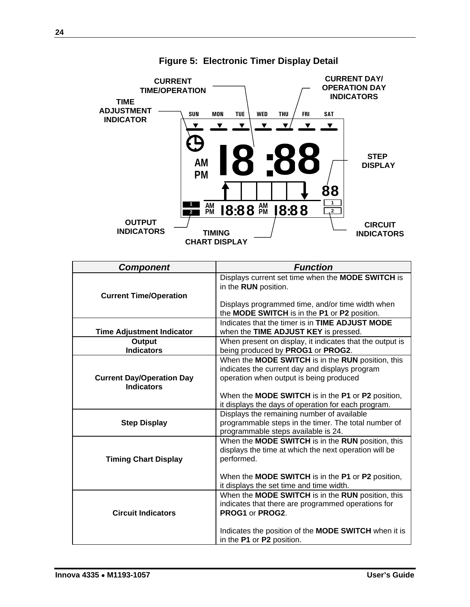

### **Figure 5: Electronic Timer Display Detail**

| <b>Component</b>                 | <b>Function</b>                                                 |
|----------------------------------|-----------------------------------------------------------------|
|                                  | Displays current set time when the <b>MODE SWITCH</b> is        |
|                                  | in the RUN position.                                            |
| <b>Current Time/Operation</b>    |                                                                 |
|                                  | Displays programmed time, and/or time width when                |
|                                  | the MODE SWITCH is in the P1 or P2 position.                    |
|                                  | Indicates that the timer is in TIME ADJUST MODE                 |
| <b>Time Adjustment Indicator</b> | when the TIME ADJUST KEY is pressed.                            |
|                                  |                                                                 |
| <b>Output</b>                    | When present on display, it indicates that the output is        |
| <b>Indicators</b>                | being produced by PROG1 or PROG2.                               |
|                                  | When the MODE SWITCH is in the RUN position, this               |
|                                  | indicates the current day and displays program                  |
| <b>Current Day/Operation Day</b> | operation when output is being produced                         |
| <b>Indicators</b>                |                                                                 |
|                                  | When the MODE SWITCH is in the P1 or P2 position,               |
|                                  | it displays the days of operation for each program.             |
|                                  | Displays the remaining number of available                      |
| <b>Step Display</b>              | programmable steps in the timer. The total number of            |
|                                  | programmable steps available is 24.                             |
|                                  | When the MODE SWITCH is in the RUN position, this               |
|                                  | displays the time at which the next operation will be           |
|                                  | performed.                                                      |
| <b>Timing Chart Display</b>      |                                                                 |
|                                  |                                                                 |
|                                  | When the MODE SWITCH is in the P1 or P2 position,               |
|                                  | it displays the set time and time width.                        |
|                                  | When the <b>MODE SWITCH</b> is in the <b>RUN</b> position, this |
|                                  | indicates that there are programmed operations for              |
| <b>Circuit Indicators</b>        | PROG1 or PROG2.                                                 |
|                                  |                                                                 |
|                                  | Indicates the position of the <b>MODE SWITCH</b> when it is     |
|                                  | in the P1 or P2 position.                                       |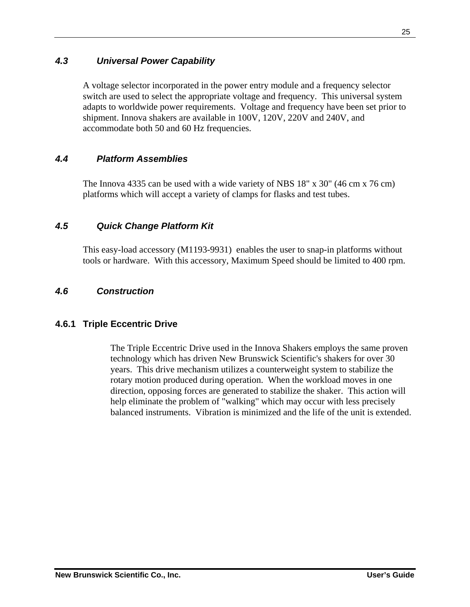#### <span id="page-24-0"></span>*4.3 Universal Power Capability*

A voltage selector incorporated in the power entry module and a frequency selector switch are used to select the appropriate voltage and frequency. This universal system adapts to worldwide power requirements. Voltage and frequency have been set prior to shipment. Innova shakers are available in 100V, 120V, 220V and 240V, and accommodate both 50 and 60 Hz frequencies.

#### *4.4 Platform Assemblies*

The Innova 4335 can be used with a wide variety of NBS 18" x 30" (46 cm x 76 cm) platforms which will accept a variety of clamps for flasks and test tubes.

#### *4.5 Quick Change Platform Kit*

This easy-load accessory (M1193-9931) enables the user to snap-in platforms without tools or hardware. With this accessory, Maximum Speed should be limited to 400 rpm.

#### *4.6 Construction*

#### **4.6.1 Triple Eccentric Drive**

The Triple Eccentric Drive used in the Innova Shakers employs the same proven technology which has driven New Brunswick Scientific's shakers for over 30 years. This drive mechanism utilizes a counterweight system to stabilize the rotary motion produced during operation. When the workload moves in one direction, opposing forces are generated to stabilize the shaker. This action will help eliminate the problem of "walking" which may occur with less precisely balanced instruments. Vibration is minimized and the life of the unit is extended.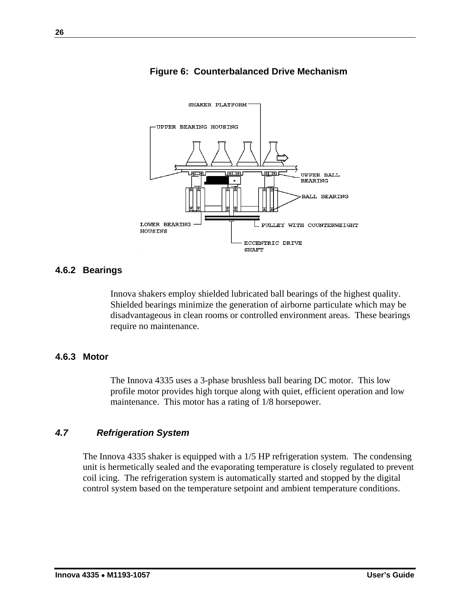<span id="page-25-0"></span>

#### **Figure 6: Counterbalanced Drive Mechanism**

#### **4.6.2 Bearings**

Innova shakers employ shielded lubricated ball bearings of the highest quality. Shielded bearings minimize the generation of airborne particulate which may be disadvantageous in clean rooms or controlled environment areas. These bearings require no maintenance.

#### **4.6.3 Motor**

The Innova 4335 uses a 3-phase brushless ball bearing DC motor. This low profile motor provides high torque along with quiet, efficient operation and low maintenance. This motor has a rating of 1/8 horsepower.

#### *4.7 Refrigeration System*

The Innova 4335 shaker is equipped with a 1/5 HP refrigeration system. The condensing unit is hermetically sealed and the evaporating temperature is closely regulated to prevent coil icing. The refrigeration system is automatically started and stopped by the digital control system based on the temperature setpoint and ambient temperature conditions.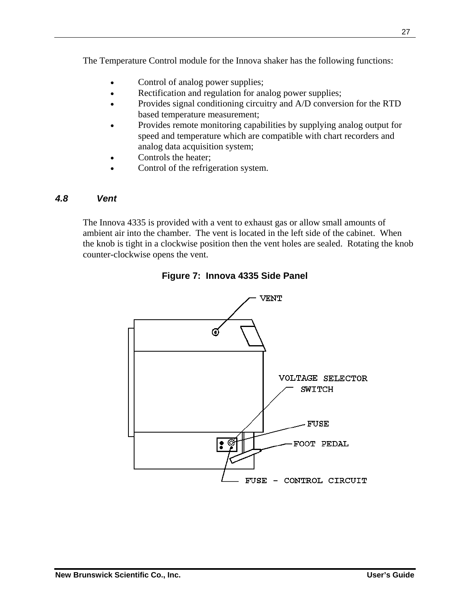<span id="page-26-0"></span>The Temperature Control module for the Innova shaker has the following functions:

- Control of analog power supplies;
- Rectification and regulation for analog power supplies;
- Provides signal conditioning circuitry and A/D conversion for the RTD based temperature measurement;
- Provides remote monitoring capabilities by supplying analog output for speed and temperature which are compatible with chart recorders and analog data acquisition system;
- Controls the heater:
- Control of the refrigeration system.

#### *4.8 Vent*

The Innova 4335 is provided with a vent to exhaust gas or allow small amounts of ambient air into the chamber. The vent is located in the left side of the cabinet. When the knob is tight in a clockwise position then the vent holes are sealed. Rotating the knob counter-clockwise opens the vent.



#### **Figure 7: Innova 4335 Side Panel**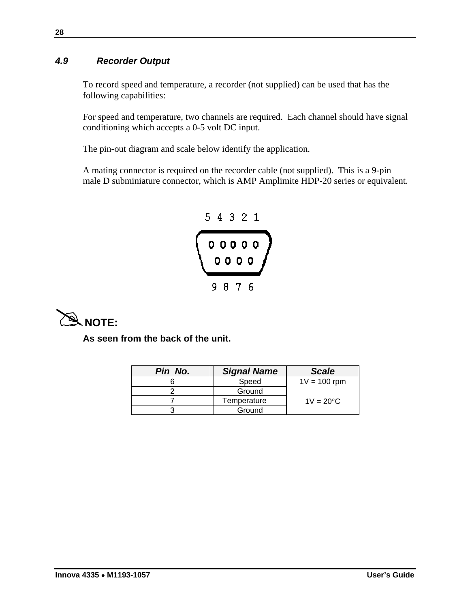#### <span id="page-27-0"></span>*4.9 Recorder Output*

To record speed and temperature, a recorder (not supplied) can be used that has the following capabilities:

For speed and temperature, two channels are required. Each channel should have signal conditioning which accepts a 0-5 volt DC input.

The pin-out diagram and scale below identify the application.

A mating connector is required on the recorder cable (not supplied). This is a 9-pin male D subminiature connector, which is AMP Amplimite HDP-20 series or equivalent.





**As seen from the back of the unit.** 

| Pin No. | <b>Signal Name</b> | <b>Scale</b>       |
|---------|--------------------|--------------------|
|         | Speed              | $1V = 100$ rpm     |
|         | Ground             |                    |
|         | Temperature        | $1V = 20^{\circ}C$ |
|         | Ground             |                    |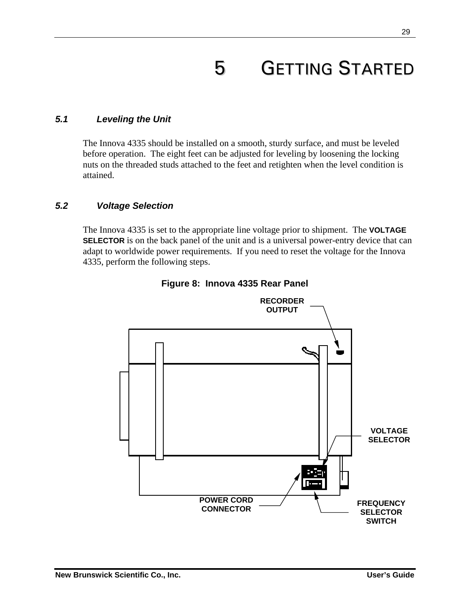# 5 GETTING STARTED

#### <span id="page-28-0"></span>*5.1 Leveling the Unit*

The Innova 4335 should be installed on a smooth, sturdy surface, and must be leveled before operation. The eight feet can be adjusted for leveling by loosening the locking nuts on the threaded studs attached to the feet and retighten when the level condition is attained.

#### *5.2 Voltage Selection*

The Innova 4335 is set to the appropriate line voltage prior to shipment. The **VOLTAGE SELECTOR** is on the back panel of the unit and is a universal power-entry device that can adapt to worldwide power requirements. If you need to reset the voltage for the Innova 4335, perform the following steps.



#### **Figure 8: Innova 4335 Rear Panel**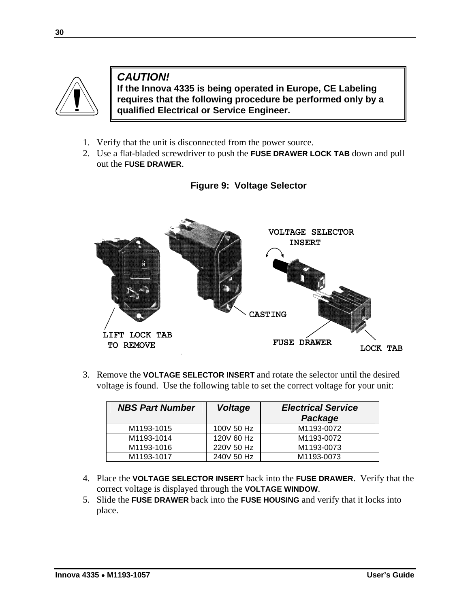

### *CAUTION!*

**If the Innova 4335 is being operated in Europe, CE Labeling requires that the following procedure be performed only by a qualified Electrical or Service Engineer.** 

- 1. Verify that the unit is disconnected from the power source.
- 2. Use a flat-bladed screwdriver to push the **FUSE DRAWER LOCK TAB** down and pull out the **FUSE DRAWER**.



#### **Figure 9: Voltage Selector**

3. Remove the **VOLTAGE SELECTOR INSERT** and rotate the selector until the desired voltage is found. Use the following table to set the correct voltage for your unit:

| <b>NBS Part Number</b> | Voltage    | <b>Electrical Service</b><br>Package |
|------------------------|------------|--------------------------------------|
| M1193-1015             | 100V 50 Hz | M1193-0072                           |
| M1193-1014             | 120V 60 Hz | M1193-0072                           |
| M1193-1016             | 220V 50 Hz | M1193-0073                           |
| M1193-1017             | 240V 50 Hz | M1193-0073                           |

- 4. Place the **VOLTAGE SELECTOR INSERT** back into the **FUSE DRAWER**. Verify that the correct voltage is displayed through the **VOLTAGE WINDOW**.
- 5. Slide the **FUSE DRAWER** back into the **FUSE HOUSING** and verify that it locks into place.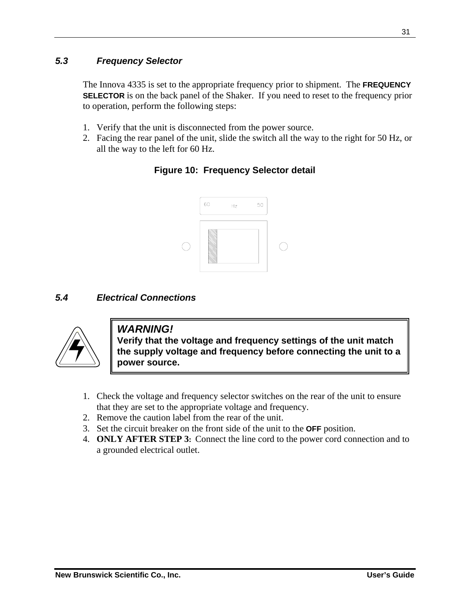### **Figure 10: Frequency Selector detail**

1. Verify that the unit is disconnected from the power source.

The Innova 4335 is set to the appropriate frequency prior to shipment. The **FREQUENCY SELECTOR** is on the back panel of the Shaker. If you need to reset to the frequency prior

2. Facing the rear panel of the unit, slide the switch all the way to the right for 50 Hz, or



#### *5.4 Electrical Connections*

<span id="page-30-0"></span>*5.3 Frequency Selector* 

to operation, perform the following steps:

all the way to the left for 60 Hz.



#### *WARNING!* **Verify that the voltage and frequency settings of the unit match the supply voltage and frequency before connecting the unit to a power source.**

- 1. Check the voltage and frequency selector switches on the rear of the unit to ensure that they are set to the appropriate voltage and frequency.
- 2. Remove the caution label from the rear of the unit.
- 3. Set the circuit breaker on the front side of the unit to the **OFF** position.
- 4. **ONLY AFTER STEP 3:** Connect the line cord to the power cord connection and to a grounded electrical outlet.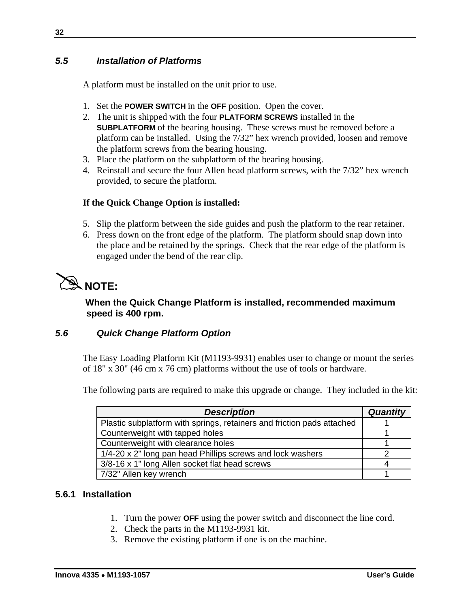#### <span id="page-31-0"></span>*5.5 Installation of Platforms*

A platform must be installed on the unit prior to use.

- 1. Set the **POWER SWITCH** in the **OFF** position. Open the cover.
- 2. The unit is shipped with the four **PLATFORM SCREWS** installed in the **SUBPLATFORM** of the bearing housing. These screws must be removed before a platform can be installed. Using the 7/32" hex wrench provided, loosen and remove the platform screws from the bearing housing.
- 3. Place the platform on the subplatform of the bearing housing.
- 4. Reinstall and secure the four Allen head platform screws, with the 7/32" hex wrench provided, to secure the platform.

#### **If the Quick Change Option is installed:**

- 5. Slip the platform between the side guides and push the platform to the rear retainer.
- 6. Press down on the front edge of the platform. The platform should snap down into the place and be retained by the springs. Check that the rear edge of the platform is engaged under the bend of the rear clip.

# $\triangle$  NOTE:

#### **When the Quick Change Platform is installed, recommended maximum speed is 400 rpm.**

#### *5.6 Quick Change Platform Option*

The Easy Loading Platform Kit (M1193-9931) enables user to change or mount the series of 18" x 30" (46 cm x 76 cm) platforms without the use of tools or hardware.

The following parts are required to make this upgrade or change. They included in the kit:

| <b>Description</b>                                                     | <b>Quantity</b> |
|------------------------------------------------------------------------|-----------------|
| Plastic subplatform with springs, retainers and friction pads attached |                 |
| Counterweight with tapped holes                                        |                 |
| Counterweight with clearance holes                                     |                 |
| 1/4-20 x 2" long pan head Phillips screws and lock washers             |                 |
| 3/8-16 x 1" long Allen socket flat head screws                         |                 |
| 7/32" Allen key wrench                                                 |                 |

#### **5.6.1 Installation**

- 1. Turn the power **OFF** using the power switch and disconnect the line cord.
- 2. Check the parts in the M1193-9931 kit.
- 3. Remove the existing platform if one is on the machine.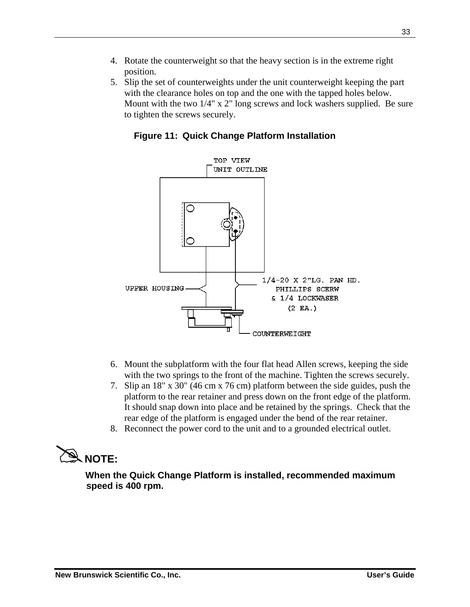- 4. Rotate the counterweight so that the heavy section is in the extreme right position.
- 5. Slip the set of counterweights under the unit counterweight keeping the part with the clearance holes on top and the one with the tapped holes below. Mount with the two 1/4" x 2" long screws and lock washers supplied. Be sure to tighten the screws securely.

**Figure 11: Quick Change Platform Installation** 



- 6. Mount the subplatform with the four flat head Allen screws, keeping the side with the two springs to the front of the machine. Tighten the screws securely.
- 7. Slip an 18" x 30" (46 cm x 76 cm) platform between the side guides, push the platform to the rear retainer and press down on the front edge of the platform. It should snap down into place and be retained by the springs. Check that the rear edge of the platform is engaged under the bend of the rear retainer.
- 8. Reconnect the power cord to the unit and to a grounded electrical outlet.

# $\mathcal{R}$  NOTE:

#### **When the Quick Change Platform is installed, recommended maximum speed is 400 rpm.**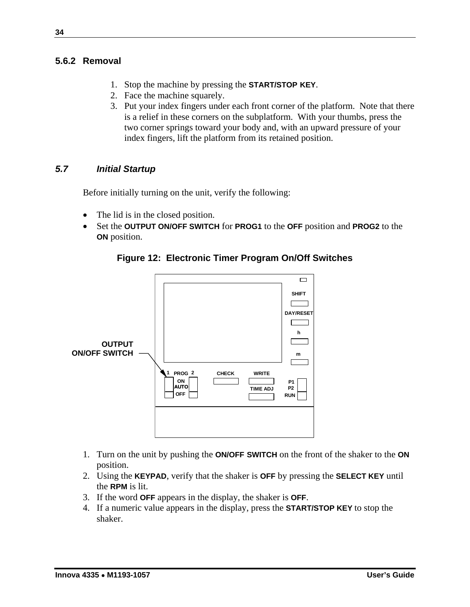#### <span id="page-33-0"></span>**5.6.2 Removal**

- 1. Stop the machine by pressing the **START/STOP KEY**.
- 2. Face the machine squarely.
- 3. Put your index fingers under each front corner of the platform. Note that there is a relief in these corners on the subplatform. With your thumbs, press the two corner springs toward your body and, with an upward pressure of your index fingers, lift the platform from its retained position.

#### *5.7 Initial Startup*

Before initially turning on the unit, verify the following:

- The lid is in the closed position.
- Set the **OUTPUT ON/OFF SWITCH** for **PROG1** to the **OFF** position and **PROG2** to the **ON** position.



**Figure 12: Electronic Timer Program On/Off Switches** 

- 1. Turn on the unit by pushing the **ON/OFF SWITCH** on the front of the shaker to the **ON** position.
- 2. Using the **KEYPAD**, verify that the shaker is **OFF** by pressing the **SELECT KEY** until the **RPM** is lit.
- 3. If the word **OFF** appears in the display, the shaker is **OFF**.
- 4. If a numeric value appears in the display, press the **START/STOP KEY** to stop the shaker.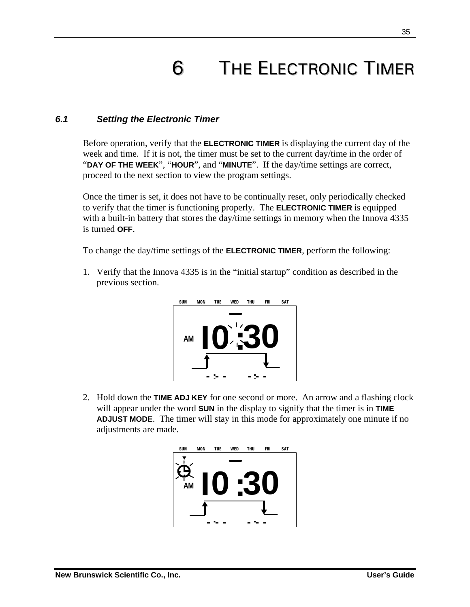# 6 THE ELECTRONIC TIMER

#### <span id="page-34-0"></span>*6.1 Setting the Electronic Timer*

Before operation, verify that the **ELECTRONIC TIMER** is displaying the current day of the week and time. If it is not, the timer must be set to the current day/time in the order of "**DAY OF THE WEEK**", "**HOUR**", and "**MINUTE**". If the day/time settings are correct, proceed to the next section to view the program settings.

Once the timer is set, it does not have to be continually reset, only periodically checked to verify that the timer is functioning properly. The **ELECTRONIC TIMER** is equipped with a built-in battery that stores the day/time settings in memory when the Innova 4335 is turned **OFF**.

To change the day/time settings of the **ELECTRONIC TIMER**, perform the following:

1. Verify that the Innova 4335 is in the "initial startup" condition as described in the previous section.



2. Hold down the **TIME ADJ KEY** for one second or more. An arrow and a flashing clock will appear under the word **SUN** in the display to signify that the timer is in **TIME ADJUST MODE**. The timer will stay in this mode for approximately one minute if no adjustments are made.

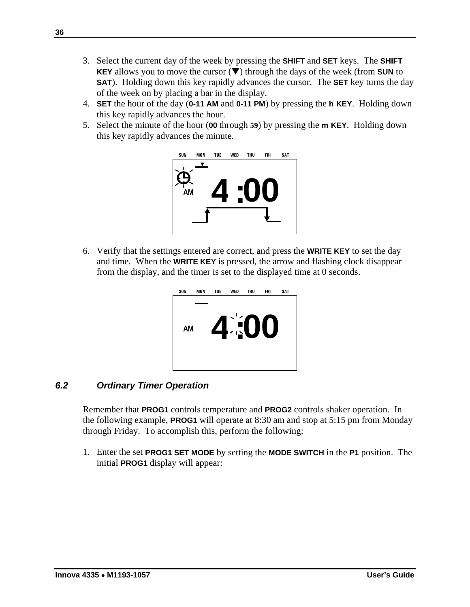- <span id="page-35-0"></span>3. Select the current day of the week by pressing the **SHIFT** and **SET** keys. The **SHIFT KEY** allows you to move the cursor  $(\nabla)$  through the days of the week (from **SUN** to **SAT**). Holding down this key rapidly advances the cursor. The **SET** key turns the day of the week on by placing a bar in the display.
- 4. **SET** the hour of the day (**0-11 AM** and **0-11 PM**) by pressing the **h KEY**. Holding down this key rapidly advances the hour.
- 5. Select the minute of the hour (**00** through **59**) by pressing the **m KEY**. Holding down this key rapidly advances the minute.



6. Verify that the settings entered are correct, and press the **WRITE KEY** to set the day and time. When the **WRITE KEY** is pressed, the arrow and flashing clock disappear from the display, and the timer is set to the displayed time at 0 seconds.



#### *6.2 Ordinary Timer Operation*

Remember that **PROG1** controls temperature and **PROG2** controls shaker operation. In the following example, **PROG1** will operate at 8:30 am and stop at 5:15 pm from Monday through Friday. To accomplish this, perform the following:

1. Enter the set **PROG1 SET MODE** by setting the **MODE SWITCH** in the **P1** position. The initial **PROG1** display will appear: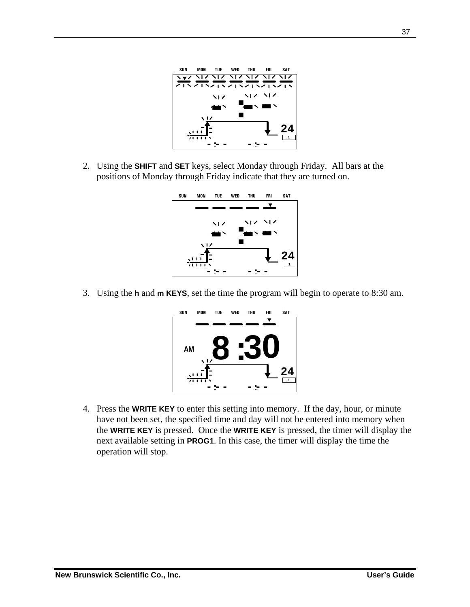

2. Using the **SHIFT** and **SET** keys, select Monday through Friday. All bars at the positions of Monday through Friday indicate that they are turned on.



3. Using the **h** and **m KEYS**, set the time the program will begin to operate to 8:30 am.



4. Press the **WRITE KEY** to enter this setting into memory. If the day, hour, or minute have not been set, the specified time and day will not be entered into memory when the **WRITE KEY** is pressed. Once the **WRITE KEY** is pressed, the timer will display the next available setting in **PROG1**. In this case, the timer will display the time the operation will stop.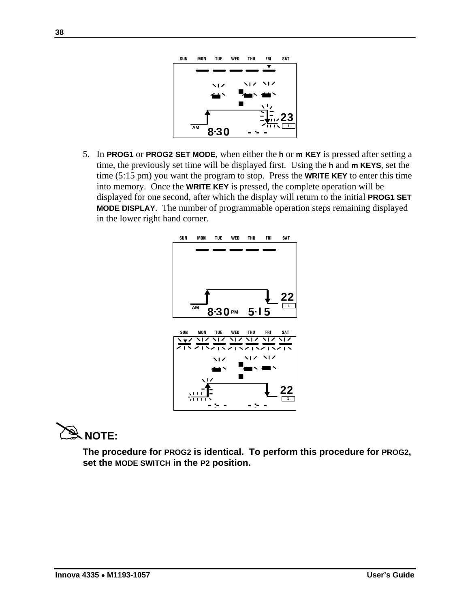

5. In **PROG1** or **PROG2 SET MODE**, when either the **h** or **m KEY** is pressed after setting a time, the previously set time will be displayed first. Using the **h** and **m KEYS**, set the time (5:15 pm) you want the program to stop. Press the **WRITE KEY** to enter this time into memory. Once the **WRITE KEY** is pressed, the complete operation will be displayed for one second, after which the display will return to the initial **PROG1 SET MODE DISPLAY**. The number of programmable operation steps remaining displayed in the lower right hand corner.





**The procedure for PROG2 is identical. To perform this procedure for PROG2, set the MODE SWITCH in the P2 position.**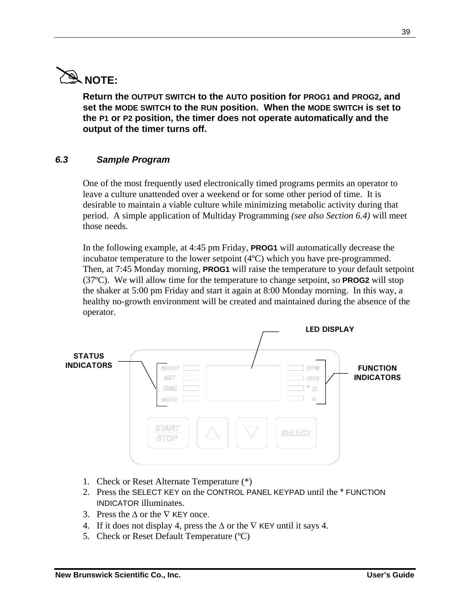

**Return the OUTPUT SWITCH to the AUTO position for PROG1 and PROG2, and set the MODE SWITCH to the RUN position. When the MODE SWITCH is set to the P1 or P2 position, the timer does not operate automatically and the output of the timer turns off.** 

# *6.3 Sample Program*

One of the most frequently used electronically timed programs permits an operator to leave a culture unattended over a weekend or for some other period of time. It is desirable to maintain a viable culture while minimizing metabolic activity during that period. A simple application of Multiday Programming *(see also Section 6.4)* will meet those needs.

In the following example, at 4:45 pm Friday, **PROG1** will automatically decrease the incubator temperature to the lower setpoint (4ºC) which you have pre-programmed. Then, at 7:45 Monday morning, **PROG1** will raise the temperature to your default setpoint (37ºC). We will allow time for the temperature to change setpoint, so **PROG2** will stop the shaker at 5:00 pm Friday and start it again at 8:00 Monday morning. In this way, a healthy no-growth environment will be created and maintained during the absence of the operator.



- 1. Check or Reset Alternate Temperature (\*)
- 2. Press the SELECT KEY on the CONTROL PANEL KEYPAD until the \* FUNCTION INDICATOR illuminates.
- 3. Press the  $\triangle$  or the  $\nabla$  KEY once.
- 4. If it does not display 4, press the  $\Delta$  or the  $\nabla$  KEY until it says 4.
- 5. Check or Reset Default Temperature (ºC)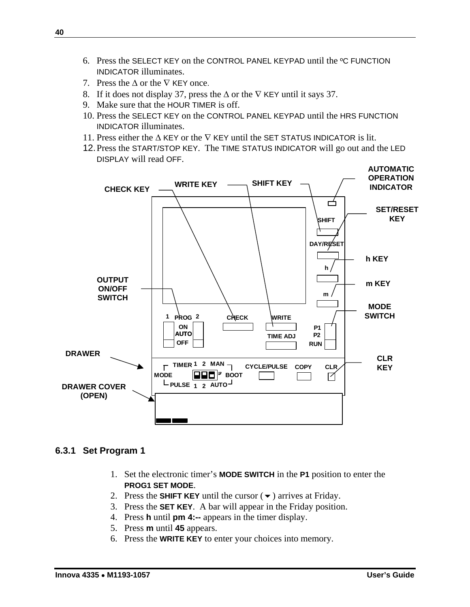- 6. Press the SELECT KEY on the CONTROL PANEL KEYPAD until the ºC FUNCTION INDICATOR illuminates.
- 7. Press the  $\wedge$  or the  $\nabla$  KEY once.
- 8. If it does not display 37, press the  $\Delta$  or the  $\nabla$  KEY until it says 37.
- 9. Make sure that the HOUR TIMER is off.
- 10. Press the SELECT KEY on the CONTROL PANEL KEYPAD until the HRS FUNCTION INDICATOR illuminates.
- 11. Press either the  $\Delta$  KEY or the  $\nabla$  KEY until the SET STATUS INDICATOR is lit.
- 12. Press the START/STOP KEY. The TIME STATUS INDICATOR will go out and the LED DISPLAY will read OFF.



### **6.3.1 Set Program 1**

- 1. Set the electronic timer's **MODE SWITCH** in the **P1** position to enter the **PROG1 SET MODE**.
- 2. Press the **SHIFT KEY** until the cursor  $(\star)$  arrives at Friday.
- 3. Press the **SET KEY**. A bar will appear in the Friday position.
- 4. Press **h** until **pm 4:--** appears in the timer display.
- 5. Press **m** until **45** appears.
- 6. Press the **WRITE KEY** to enter your choices into memory.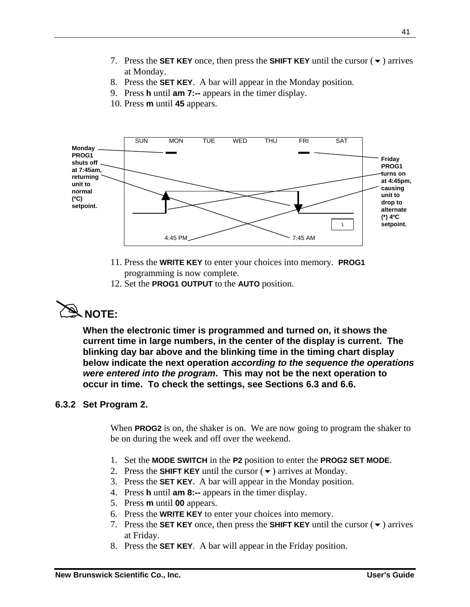- 7. Press the **SET KEY** once, then press the **SHIFT KEY** until the cursor  $(\star)$  arrives at Monday.
- 8. Press the **SET KEY**. A bar will appear in the Monday position.
- 9. Press **h** until **am 7:--** appears in the timer display.
- 10. Press **m** until **45** appears.



- 11. Press the **WRITE KEY** to enter your choices into memory. **PROG1** programming is now complete.
- 12. Set the **PROG1 OUTPUT** to the **AUTO** position.

# #**NOTE:**

**When the electronic timer is programmed and turned on, it shows the current time in large numbers, in the center of the display is current. The blinking day bar above and the blinking time in the timing chart display below indicate the next operation** *according to the sequence the operations were entered into the program***. This may not be the next operation to occur in time. To check the settings, see Sections 6.3 and 6.6.** 

### **6.3.2 Set Program 2.**

When **PROG2** is on, the shaker is on. We are now going to program the shaker to be on during the week and off over the weekend.

- 1. Set the **MODE SWITCH** in the **P2** position to enter the **PROG2 SET MODE**.
- 2. Press the **SHIFT KEY** until the cursor  $(\blacktriangleright)$  arrives at Monday.
- 3. Press the **SET KEY.** A bar will appear in the Monday position.
- 4. Press **h** until **am 8:--** appears in the timer display.
- 5. Press **m** until **00** appears.
- 6. Press the **WRITE KEY** to enter your choices into memory.
- 7. Press the **SET KEY** once, then press the **SHIFT KEY** until the cursor  $(\star)$  arrives at Friday.
- 8. Press the **SET KEY**. A bar will appear in the Friday position.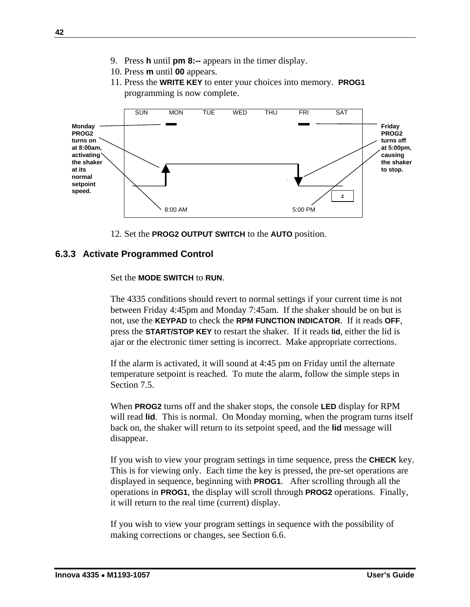- 9. Press **h** until **pm 8:--** appears in the timer display.
- 10. Press **m** until **00** appears.
- 11. Press the **WRITE KEY** to enter your choices into memory. **PROG1** programming is now complete.



12. Set the **PROG2 OUTPUT SWITCH** to the **AUTO** position.

#### **6.3.3 Activate Programmed Control**

#### Set the **MODE SWITCH** to **RUN**.

The 4335 conditions should revert to normal settings if your current time is not between Friday 4:45pm and Monday 7:45am. If the shaker should be on but is not, use the **KEYPAD** to check the **RPM FUNCTION INDICATOR**. If it reads **OFF**, press the **START/STOP KEY** to restart the shaker. If it reads **lid**, either the lid is ajar or the electronic timer setting is incorrect. Make appropriate corrections.

If the alarm is activated, it will sound at 4:45 pm on Friday until the alternate temperature setpoint is reached. To mute the alarm, follow the simple steps in Section 7.5.

When **PROG2** turns off and the shaker stops, the console **LED** display for RPM will read **lid**. This is normal. On Monday morning, when the program turns itself back on, the shaker will return to its setpoint speed, and the **lid** message will disappear.

If you wish to view your program settings in time sequence, press the **CHECK** key. This is for viewing only. Each time the key is pressed, the pre-set operations are displayed in sequence, beginning with **PROG1**. After scrolling through all the operations in **PROG1**, the display will scroll through **PROG2** operations. Finally, it will return to the real time (current) display.

If you wish to view your program settings in sequence with the possibility of making corrections or changes, see Section 6.6.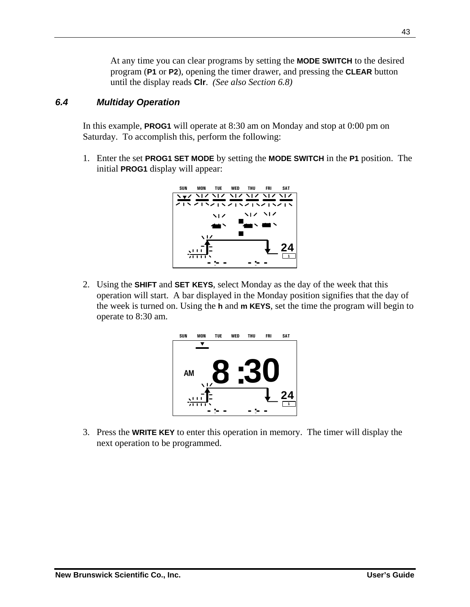At any time you can clear programs by setting the **MODE SWITCH** to the desired program (**P1** or **P2**), opening the timer drawer, and pressing the **CLEAR** button until the display reads **Clr**. *(See also Section 6.8)*

# *6.4 Multiday Operation*

In this example, **PROG1** will operate at 8:30 am on Monday and stop at 0:00 pm on Saturday. To accomplish this, perform the following:

1. Enter the set **PROG1 SET MODE** by setting the **MODE SWITCH** in the **P1** position. The initial **PROG1** display will appear:



2. Using the **SHIFT** and **SET KEYS**, select Monday as the day of the week that this operation will start. A bar displayed in the Monday position signifies that the day of the week is turned on. Using the **h** and **m KEYS**, set the time the program will begin to operate to 8:30 am.



3. Press the **WRITE KEY** to enter this operation in memory. The timer will display the next operation to be programmed.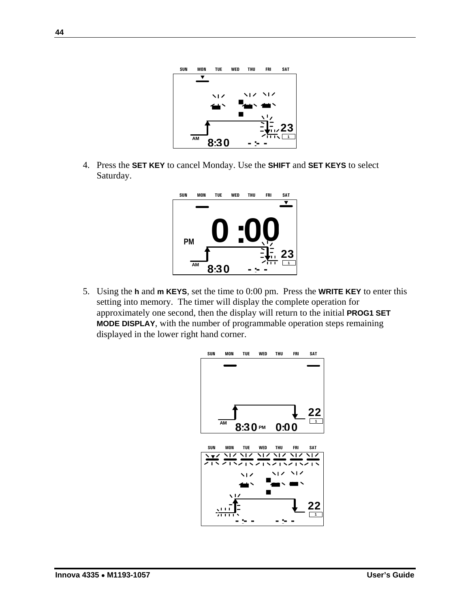

4. Press the **SET KEY** to cancel Monday. Use the **SHIFT** and **SET KEYS** to select Saturday.



5. Using the **h** and **m KEYS**, set the time to 0:00 pm. Press the **WRITE KEY** to enter this setting into memory. The timer will display the complete operation for approximately one second, then the display will return to the initial **PROG1 SET MODE DISPLAY**, with the number of programmable operation steps remaining displayed in the lower right hand corner.



**44**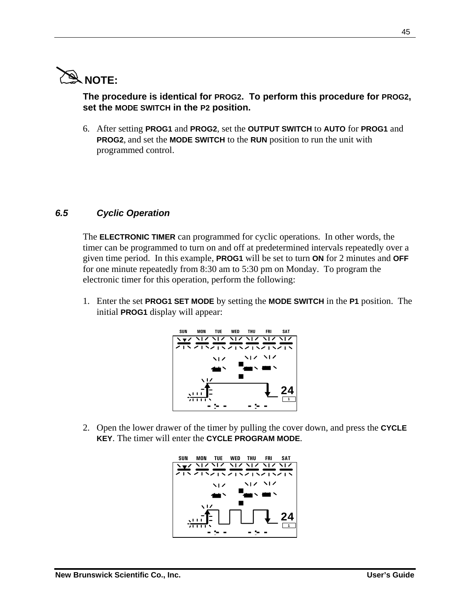

**The procedure is identical for PROG2. To perform this procedure for PROG2, set the MODE SWITCH in the P2 position.** 

6. After setting **PROG1** and **PROG2**, set the **OUTPUT SWITCH** to **AUTO** for **PROG1** and **PROG2**, and set the **MODE SWITCH** to the **RUN** position to run the unit with programmed control.

### *6.5 Cyclic Operation*

The **ELECTRONIC TIMER** can programmed for cyclic operations. In other words, the timer can be programmed to turn on and off at predetermined intervals repeatedly over a given time period. In this example, **PROG1** will be set to turn **ON** for 2 minutes and **OFF** for one minute repeatedly from 8:30 am to 5:30 pm on Monday. To program the electronic timer for this operation, perform the following:

1. Enter the set **PROG1 SET MODE** by setting the **MODE SWITCH** in the **P1** position. The initial **PROG1** display will appear:



2. Open the lower drawer of the timer by pulling the cover down, and press the **CYCLE KEY**. The timer will enter the **CYCLE PROGRAM MODE**.

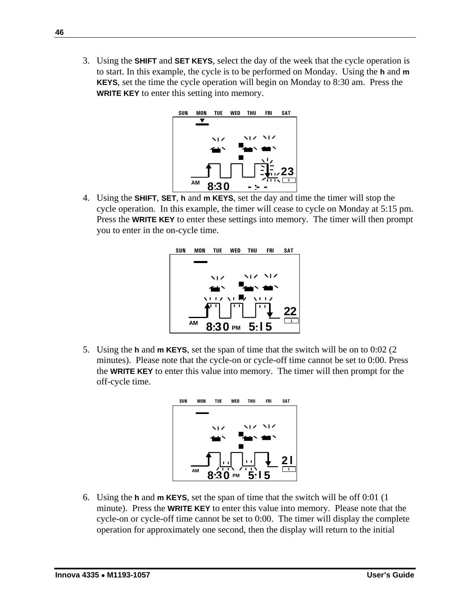3. Using the **SHIFT** and **SET KEYS**, select the day of the week that the cycle operation is to start. In this example, the cycle is to be performed on Monday. Using the **h** and **m KEYS**, set the time the cycle operation will begin on Monday to 8:30 am. Press the **WRITE KEY** to enter this setting into memory.



4. Using the **SHIFT**, **SET**, **h** and **m KEYS**, set the day and time the timer will stop the cycle operation. In this example, the timer will cease to cycle on Monday at 5:15 pm. Press the **WRITE KEY** to enter these settings into memory. The timer will then prompt you to enter in the on-cycle time.



5. Using the **h** and **m KEYS**, set the span of time that the switch will be on to 0:02 (2 minutes). Please note that the cycle-on or cycle-off time cannot be set to 0:00. Press the **WRITE KEY** to enter this value into memory. The timer will then prompt for the off-cycle time.



6. Using the **h** and **m KEYS**, set the span of time that the switch will be off 0:01 (1 minute). Press the **WRITE KEY** to enter this value into memory. Please note that the cycle-on or cycle-off time cannot be set to 0:00. The timer will display the complete operation for approximately one second, then the display will return to the initial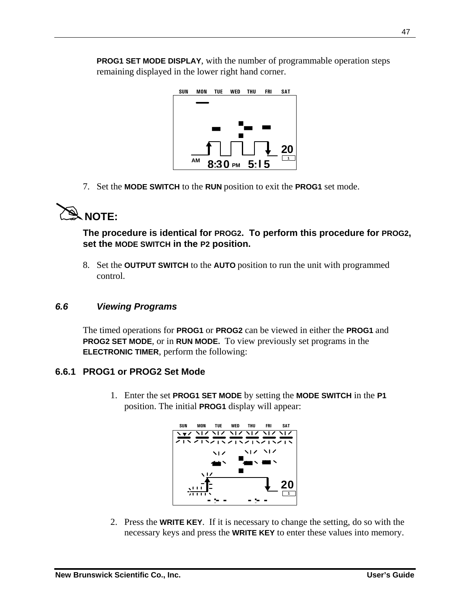**- :- - AM <sup>2</sup> 8:30 PM 5:l 5 <sup>1</sup> 20 SUN MON TUE WED THU FRI SAT**

7. Set the **MODE SWITCH** to the **RUN** position to exit the **PROG1** set mode.

# $\triangle$  NOTF $\cdot$

**The procedure is identical for PROG2. To perform this procedure for PROG2, set the MODE SWITCH in the P2 position.** 

8. Set the **OUTPUT SWITCH** to the **AUTO** position to run the unit with programmed control.

## *6.6 Viewing Programs*

The timed operations for **PROG1** or **PROG2** can be viewed in either the **PROG1** and **PROG2 SET MODE**, or in **RUN MODE.** To view previously set programs in the **ELECTRONIC TIMER**, perform the following:

### **6.6.1 PROG1 or PROG2 Set Mode**

1. Enter the set **PROG1 SET MODE** by setting the **MODE SWITCH** in the **P1** position. The initial **PROG1** display will appear:



2. Press the **WRITE KEY**. If it is necessary to change the setting, do so with the necessary keys and press the **WRITE KEY** to enter these values into memory.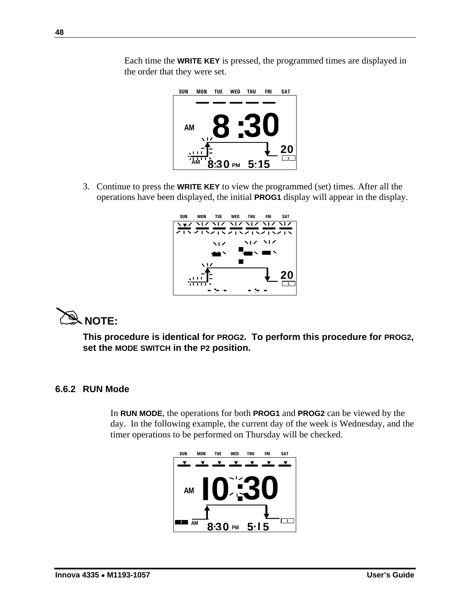

Each time the **WRITE KEY** is pressed, the programmed times are displayed in the order that they were set.

3. Continue to press the **WRITE KEY** to view the programmed (set) times. After all the operations have been displayed, the initial **PROG1** display will appear in the display.





**This procedure is identical for PROG2. To perform this procedure for PROG2, set the MODE SWITCH in the P2 position.** 

### **6.6.2 RUN Mode**

In **RUN MODE**, the operations for both **PROG1** and **PROG2** can be viewed by the day. In the following example, the current day of the week is Wednesday, and the timer operations to be performed on Thursday will be checked.

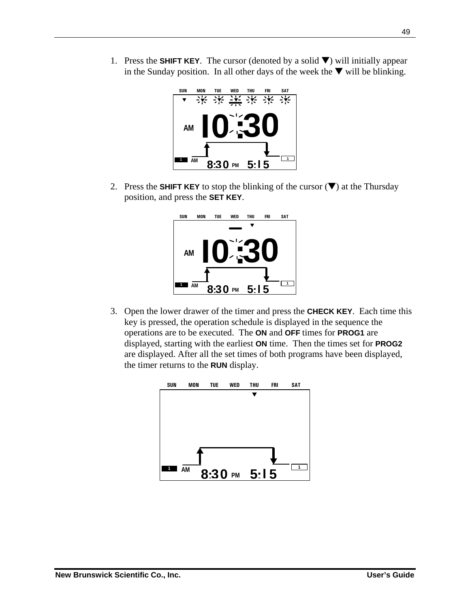1. Press the **SHIFT KEY**. The cursor (denoted by a solid  $\nabla$ ) will initially appear in the Sunday position. In all other days of the week the  $\nabla$  will be blinking.



2. Press the **SHIFT KEY** to stop the blinking of the cursor  $(\nabla)$  at the Thursday position, and press the **SET KEY**.



3. Open the lower drawer of the timer and press the **CHECK KEY**. Each time this key is pressed, the operation schedule is displayed in the sequence the operations are to be executed. The **ON** and **OFF** times for **PROG1** are displayed, starting with the earliest **ON** time. Then the times set for **PROG2** are displayed. After all the set times of both programs have been displayed, the timer returns to the **RUN** display.

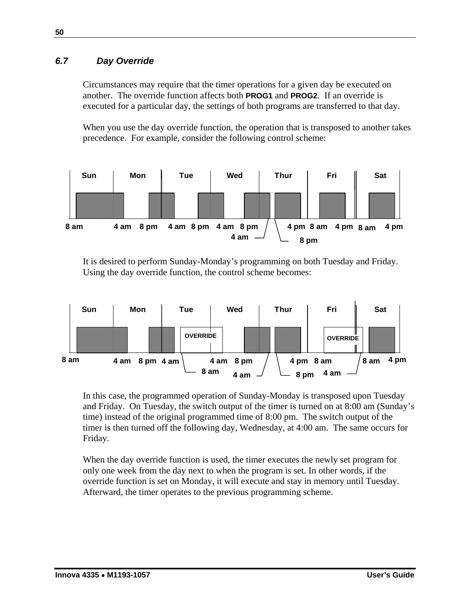## *6.7 Day Override*

Circumstances may require that the timer operations for a given day be executed on another. The override function affects both **PROG1** and **PROG2**. If an override is executed for a particular day, the settings of both programs are transferred to that day.

When you use the day override function, the operation that is transposed to another takes precedence. For example, consider the following control scheme:



It is desired to perform Sunday-Monday's programming on both Tuesday and Friday. Using the day override function, the control scheme becomes:



In this case, the programmed operation of Sunday-Monday is transposed upon Tuesday and Friday. On Tuesday, the switch output of the timer is turned on at 8:00 am (Sunday's time) instead of the original programmed time of 8:00 pm. The switch output of the timer is then turned off the following day, Wednesday, at 4:00 am. The same occurs for Friday.

When the day override function is used, the timer executes the newly set program for only one week from the day next to when the program is set. In other words, if the override function is set on Monday, it will execute and stay in memory until Tuesday. Afterward, the timer operates to the previous programming scheme.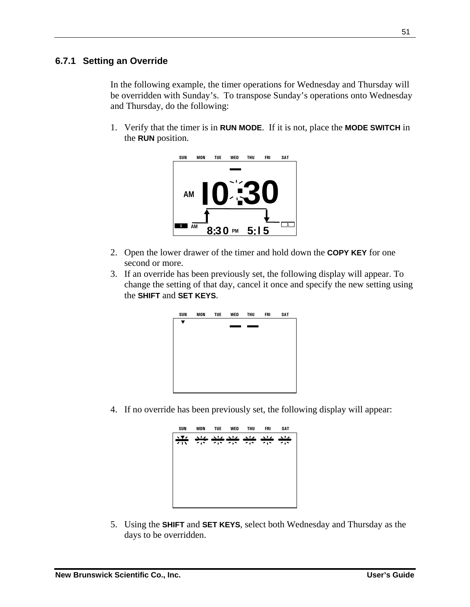## **6.7.1 Setting an Override**

In the following example, the timer operations for Wednesday and Thursday will be overridden with Sunday's. To transpose Sunday's operations onto Wednesday and Thursday, do the following:

1. Verify that the timer is in **RUN MODE**. If it is not, place the **MODE SWITCH** in the **RUN** position.



- 2. Open the lower drawer of the timer and hold down the **COPY KEY** for one second or more.
- 3. If an override has been previously set, the following display will appear. To change the setting of that day, cancel it once and specify the new setting using the **SHIFT** and **SET KEYS**.



4. If no override has been previously set, the following display will appear:

| <b>SUN</b>          | <b>MON</b> | <b>TUE</b>           | <b>WED</b>               | <b>THU</b> | <b>FRI</b>                | <b>SAT</b>         |
|---------------------|------------|----------------------|--------------------------|------------|---------------------------|--------------------|
| $\frac{1}{2}$       |            |                      |                          |            | علم اعتما عنم عنم عنم عنم |                    |
| $\overline{\cdots}$ | - 18       | $\overline{\cdot}$ . | $\overline{\phantom{a}}$ | - 18       | $\overline{\cdot}$ .      | $\overline{\cdot}$ |
|                     |            |                      |                          |            |                           |                    |
|                     |            |                      |                          |            |                           |                    |
|                     |            |                      |                          |            |                           |                    |
|                     |            |                      |                          |            |                           |                    |
|                     |            |                      |                          |            |                           |                    |
|                     |            |                      |                          |            |                           |                    |
|                     |            |                      |                          |            |                           |                    |

5. Using the **SHIFT** and **SET KEYS**, select both Wednesday and Thursday as the days to be overridden.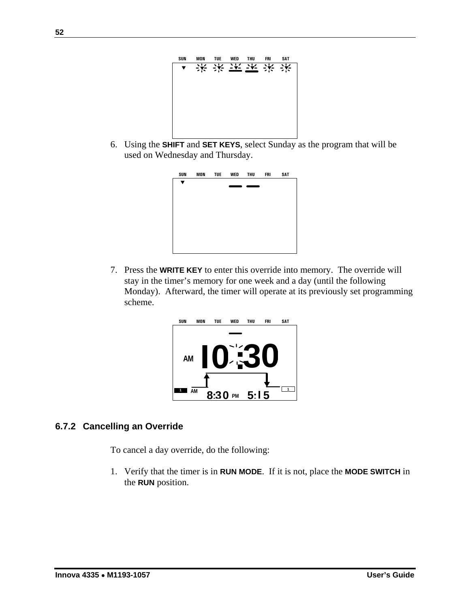

6. Using the **SHIFT** and **SET KEYS**, select Sunday as the program that will be used on Wednesday and Thursday.



7. Press the **WRITE KEY** to enter this override into memory. The override will stay in the timer's memory for one week and a day (until the following Monday). Afterward, the timer will operate at its previously set programming scheme.



#### **6.7.2 Cancelling an Override**

To cancel a day override, do the following:

1. Verify that the timer is in **RUN MODE**. If it is not, place the **MODE SWITCH** in the **RUN** position.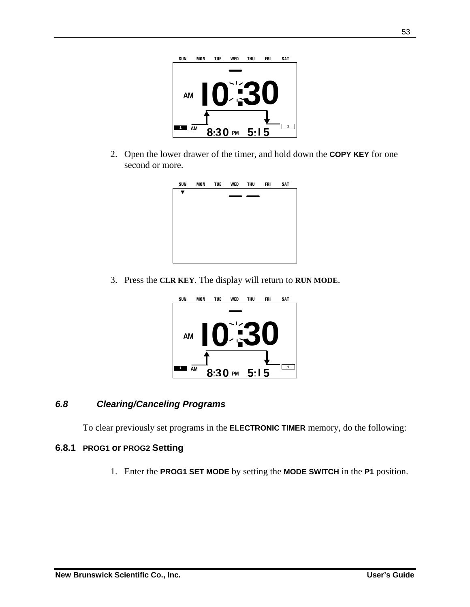

2. Open the lower drawer of the timer, and hold down the **COPY KEY** for one second or more.



3. Press the **CLR KEY**. The display will return to **RUN MODE**.



# *6.8 Clearing/Canceling Programs*

To clear previously set programs in the **ELECTRONIC TIMER** memory, do the following:

# **6.8.1 PROG1 or PROG2 Setting**

1. Enter the **PROG1 SET MODE** by setting the **MODE SWITCH** in the **P1** position.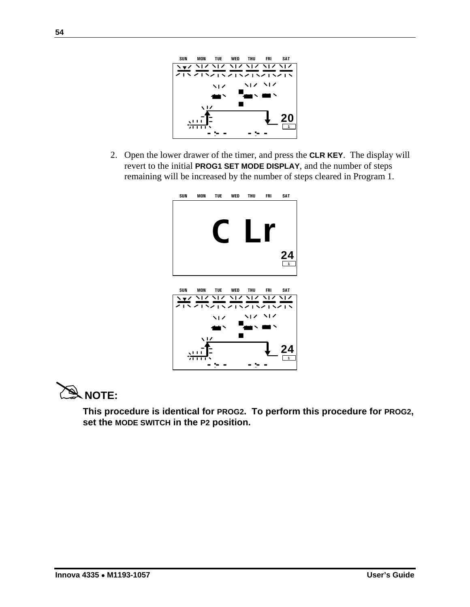

2. Open the lower drawer of the timer, and press the **CLR KEY**. The display will revert to the initial **PROG1 SET MODE DISPLAY**, and the number of steps remaining will be increased by the number of steps cleared in Program 1.





**This procedure is identical for PROG2. To perform this procedure for PROG2, set the MODE SWITCH in the P2 position.**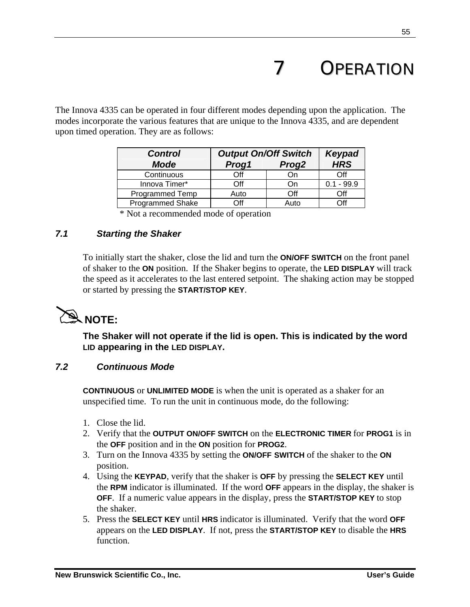# 7 OPERATION

The Innova 4335 can be operated in four different modes depending upon the application. The modes incorporate the various features that are unique to the Innova 4335, and are dependent upon timed operation. They are as follows:

| <b>Control</b>          | <b>Output On/Off Switch</b> | <b>Keypad</b>     |              |
|-------------------------|-----------------------------|-------------------|--------------|
| <b>Mode</b>             | Prog1                       | Prog <sub>2</sub> | <b>HRS</b>   |
| Continuous              | Off                         | Dn.               | Off          |
| Innova Timer*           | Off                         | ( )n              | $0.1 - 99.9$ |
| Programmed Temp         | Auto                        | ∩ff               | Off          |
| <b>Programmed Shake</b> | ∩ff                         | Auto              | ገff          |

\* Not a recommended mode of operation

# *7.1 Starting the Shaker*

To initially start the shaker, close the lid and turn the **ON/OFF SWITCH** on the front panel of shaker to the **ON** position. If the Shaker begins to operate, the **LED DISPLAY** will track the speed as it accelerates to the last entered setpoint. The shaking action may be stopped or started by pressing the **START/STOP KEY**.

# $\mathcal{R}$  NOTE:

**The Shaker will not operate if the lid is open. This is indicated by the word LID appearing in the LED DISPLAY.** 

### *7.2 Continuous Mode*

**CONTINUOUS** or **UNLIMITED MODE** is when the unit is operated as a shaker for an unspecified time. To run the unit in continuous mode, do the following:

- 1. Close the lid.
- 2. Verify that the **OUTPUT ON/OFF SWITCH** on the **ELECTRONIC TIMER** for **PROG1** is in the **OFF** position and in the **ON** position for **PROG2**.
- 3. Turn on the Innova 4335 by setting the **ON/OFF SWITCH** of the shaker to the **ON** position.
- 4. Using the **KEYPAD**, verify that the shaker is **OFF** by pressing the **SELECT KEY** until the **RPM** indicator is illuminated. If the word **OFF** appears in the display, the shaker is **OFF**. If a numeric value appears in the display, press the **START/STOP KEY** to stop the shaker.
- 5. Press the **SELECT KEY** until **HRS** indicator is illuminated. Verify that the word **OFF** appears on the **LED DISPLAY**. If not, press the **START/STOP KEY** to disable the **HRS** function.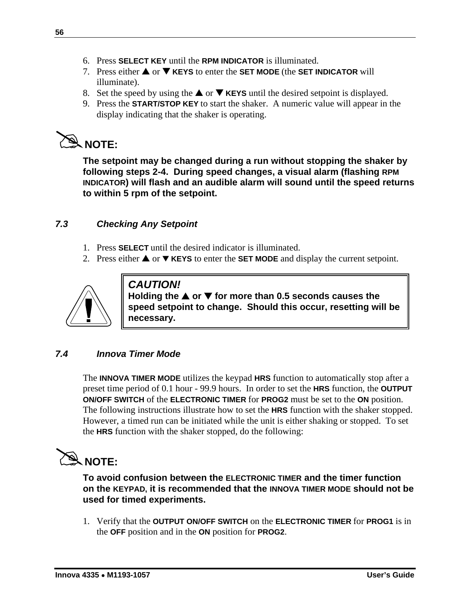- 7. Press either **△** or ▼ KEYS to enter the SET MODE (the SET INDICATOR will illuminate).
- 8. Set the speed by using the  $\triangle$  or  $\nabla$  **KEYS** until the desired setpoint is displayed.
- 9. Press the **START/STOP KEY** to start the shaker. A numeric value will appear in the display indicating that the shaker is operating.



**The setpoint may be changed during a run without stopping the shaker by following steps 2-4. During speed changes, a visual alarm (flashing RPM INDICATOR) will flash and an audible alarm will sound until the speed returns to within 5 rpm of the setpoint.** 

# *7.3 Checking Any Setpoint*

- 1. Press **SELECT** until the desired indicator is illuminated.
- 2. Press either  $\triangle$  or  $\nabla$  KEYS to enter the **SET MODE** and display the current setpoint.



*CAUTION!* Holding the **▲ or ▼** for more than 0.5 seconds causes the **speed setpoint to change. Should this occur, resetting will be necessary.**

# *7.4 Innova Timer Mode*

The **INNOVA TIMER MODE** utilizes the keypad **HRS** function to automatically stop after a preset time period of 0.1 hour - 99.9 hours. In order to set the **HRS** function, the **OUTPUT ON/OFF SWITCH** of the **ELECTRONIC TIMER** for **PROG2** must be set to the **ON** position. The following instructions illustrate how to set the **HRS** function with the shaker stopped. However, a timed run can be initiated while the unit is either shaking or stopped. To set the **HRS** function with the shaker stopped, do the following:

# $\triangle$  NOTE:

**To avoid confusion between the ELECTRONIC TIMER and the timer function on the KEYPAD, it is recommended that the INNOVA TIMER MODE should not be used for timed experiments.** 

1. Verify that the **OUTPUT ON/OFF SWITCH** on the **ELECTRONIC TIMER** for **PROG1** is in the **OFF** position and in the **ON** position for **PROG2**.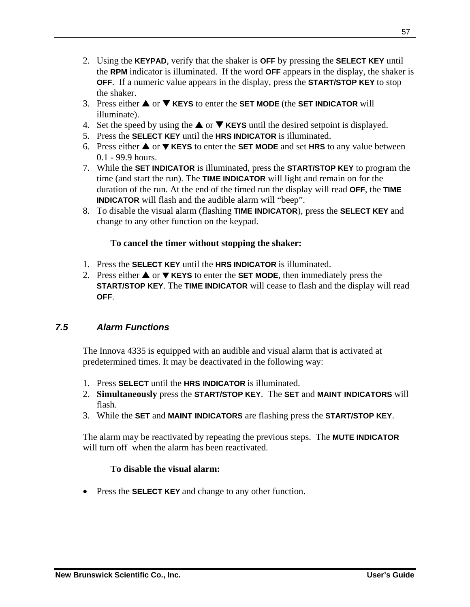- 2. Using the **KEYPAD**, verify that the shaker is **OFF** by pressing the **SELECT KEY** until the **RPM** indicator is illuminated. If the word **OFF** appears in the display, the shaker is **OFF**. If a numeric value appears in the display, press the **START/STOP KEY** to stop the shaker.
- 3. Press either **△** or ▼ **KEYS** to enter the **SET MODE** (the **SET INDICATOR** will illuminate).
- 4. Set the speed by using the  $\triangle$  or  $\nabla$  **KEYS** until the desired setpoint is displayed.
- 5. Press the **SELECT KEY** until the **HRS INDICATOR** is illuminated.
- 6. Press either  $\triangle$  or  $\nabla$  KEYS to enter the **SET MODE** and set HRS to any value between 0.1 - 99.9 hours.
- 7. While the **SET INDICATOR** is illuminated, press the **START/STOP KEY** to program the time (and start the run). The **TIME INDICATOR** will light and remain on for the duration of the run. At the end of the timed run the display will read **OFF**, the **TIME INDICATOR** will flash and the audible alarm will "beep".
- 8. To disable the visual alarm (flashing **TIME INDICATOR**), press the **SELECT KEY** and change to any other function on the keypad.

# **To cancel the timer without stopping the shaker:**

- 1. Press the **SELECT KEY** until the **HRS INDICATOR** is illuminated.
- 2. Press either  $\triangle$  or  $\nabla$  **KEYS** to enter the **SET MODE**, then immediately press the **START/STOP KEY**. The **TIME INDICATOR** will cease to flash and the display will read **OFF**.

# *7.5 Alarm Functions*

The Innova 4335 is equipped with an audible and visual alarm that is activated at predetermined times. It may be deactivated in the following way:

- 1. Press **SELECT** until the **HRS INDICATOR** is illuminated.
- 2. **Simultaneously** press the **START/STOP KEY**. The **SET** and **MAINT INDICATORS** will flash.
- 3. While the **SET** and **MAINT INDICATORS** are flashing press the **START/STOP KEY**.

The alarm may be reactivated by repeating the previous steps. The **MUTE INDICATOR** will turn off when the alarm has been reactivated.

### **To disable the visual alarm:**

• Press the **SELECT KEY** and change to any other function.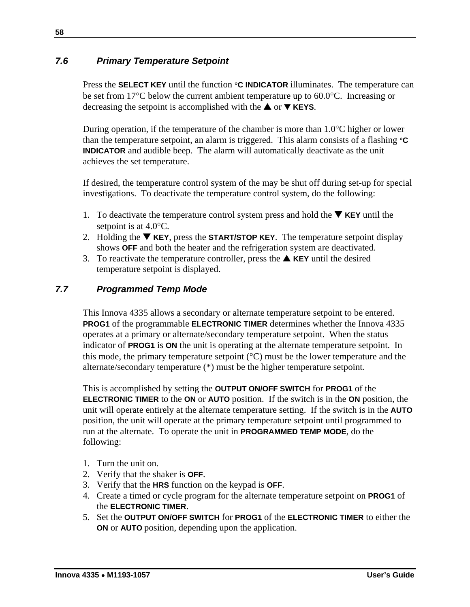# *7.6 Primary Temperature Setpoint*

Press the **SELECT KEY** until the function °**C INDICATOR** illuminates. The temperature can be set from 17°C below the current ambient temperature up to 60.0°C. Increasing or decreasing the setpoint is accomplished with the  $\triangle$  or  $\nabla$  **KEYS**.

During operation, if the temperature of the chamber is more than 1.0°C higher or lower than the temperature setpoint, an alarm is triggered. This alarm consists of a flashing °**C INDICATOR** and audible beep. The alarm will automatically deactivate as the unit achieves the set temperature.

If desired, the temperature control system of the may be shut off during set-up for special investigations. To deactivate the temperature control system, do the following:

- 1. To deactivate the temperature control system press and hold the  $\nabla$  **KEY** until the setpoint is at 4.0°C.
- 2. Holding the  $\nabla$  **KEY**, press the **START/STOP KEY**. The temperature setpoint display shows **OFF** and both the heater and the refrigeration system are deactivated.
- 3. To reactivate the temperature controller, press the  $\triangle$  **KEY** until the desired temperature setpoint is displayed.

# *7.7 Programmed Temp Mode*

This Innova 4335 allows a secondary or alternate temperature setpoint to be entered. **PROG1** of the programmable **ELECTRONIC TIMER** determines whether the Innova 4335 operates at a primary or alternate/secondary temperature setpoint. When the status indicator of **PROG1** is **ON** the unit is operating at the alternate temperature setpoint. In this mode, the primary temperature setpoint (°C) must be the lower temperature and the alternate/secondary temperature (\*) must be the higher temperature setpoint.

This is accomplished by setting the **OUTPUT ON/OFF SWITCH** for **PROG1** of the **ELECTRONIC TIMER** to the **ON** or **AUTO** position. If the switch is in the **ON** position, the unit will operate entirely at the alternate temperature setting. If the switch is in the **AUTO**  position, the unit will operate at the primary temperature setpoint until programmed to run at the alternate. To operate the unit in **PROGRAMMED TEMP MODE**, do the following:

- 1. Turn the unit on.
- 2. Verify that the shaker is **OFF**.
- 3. Verify that the **HRS** function on the keypad is **OFF**.
- 4. Create a timed or cycle program for the alternate temperature setpoint on **PROG1** of the **ELECTRONIC TIMER**.
- 5. Set the **OUTPUT ON/OFF SWITCH** for **PROG1** of the **ELECTRONIC TIMER** to either the **ON** or **AUTO** position, depending upon the application.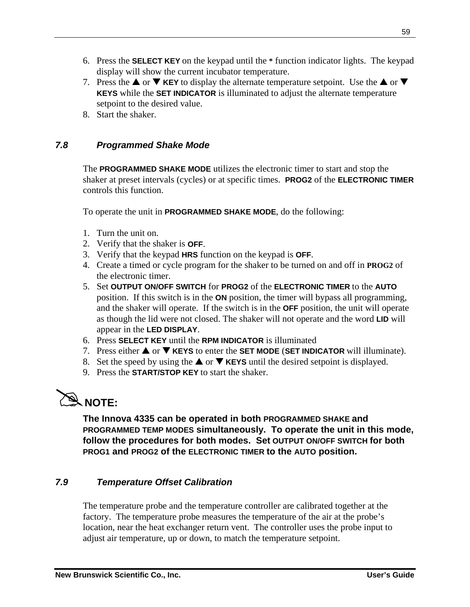- 6. Press the **SELECT KEY** on the keypad until the **\*** function indicator lights. The keypad display will show the current incubator temperature.
- 7. Press the  $\triangle$  or  $\nabla$  KEY to display the alternate temperature setpoint. Use the  $\triangle$  or  $\nabla$ **KEYS** while the **SET INDICATOR** is illuminated to adjust the alternate temperature setpoint to the desired value.
- 8. Start the shaker.

# *7.8 Programmed Shake Mode*

The **PROGRAMMED SHAKE MODE** utilizes the electronic timer to start and stop the shaker at preset intervals (cycles) or at specific times. **PROG2** of the **ELECTRONIC TIMER** controls this function.

To operate the unit in **PROGRAMMED SHAKE MODE**, do the following:

- 1. Turn the unit on.
- 2. Verify that the shaker is **OFF**.
- 3. Verify that the keypad **HRS** function on the keypad is **OFF**.
- 4. Create a timed or cycle program for the shaker to be turned on and off in **PROG2** of the electronic timer.
- 5. Set **OUTPUT ON/OFF SWITCH** for **PROG2** of the **ELECTRONIC TIMER** to the **AUTO** position. If this switch is in the **ON** position, the timer will bypass all programming, and the shaker will operate. If the switch is in the **OFF** position, the unit will operate as though the lid were not closed. The shaker will not operate and the word **LID** will appear in the **LED DISPLAY**.
- 6. Press **SELECT KEY** until the **RPM INDICATOR** is illuminated
- 7. Press either  $\triangle$  or  $\nabla$  KEYS to enter the **SET MODE** (SET INDICATOR will illuminate).
- 8. Set the speed by using the  $\triangle$  or  $\nabla$  **KEYS** until the desired setpoint is displayed.
- 9. Press the **START/STOP KEY** to start the shaker.

# $\rightarrow$  NOTE:

**The Innova 4335 can be operated in both PROGRAMMED SHAKE and PROGRAMMED TEMP MODES simultaneously. To operate the unit in this mode, follow the procedures for both modes. Set OUTPUT ON/OFF SWITCH for both PROG1 and PROG2 of the ELECTRONIC TIMER to the AUTO position.** 

# *7.9 Temperature Offset Calibration*

The temperature probe and the temperature controller are calibrated together at the factory. The temperature probe measures the temperature of the air at the probe's location, near the heat exchanger return vent. The controller uses the probe input to adjust air temperature, up or down, to match the temperature setpoint.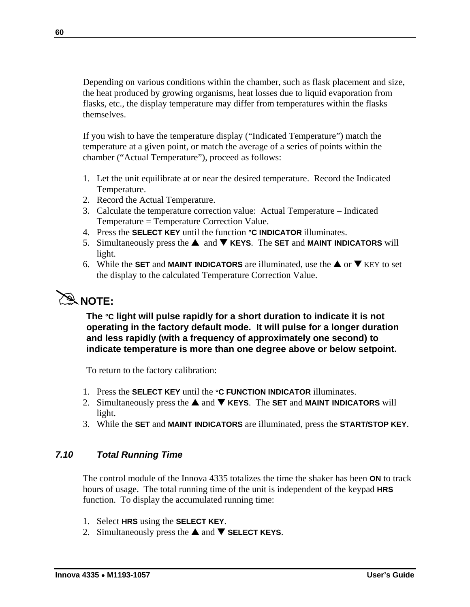Depending on various conditions within the chamber, such as flask placement and size, the heat produced by growing organisms, heat losses due to liquid evaporation from flasks, etc., the display temperature may differ from temperatures within the flasks themselves.

If you wish to have the temperature display ("Indicated Temperature") match the temperature at a given point, or match the average of a series of points within the chamber ("Actual Temperature"), proceed as follows:

- 1. Let the unit equilibrate at or near the desired temperature. Record the Indicated Temperature.
- 2. Record the Actual Temperature.
- 3. Calculate the temperature correction value: Actual Temperature Indicated Temperature = Temperature Correction Value.
- 4. Press the **SELECT KEY** until the function °**C INDICATOR** illuminates.
- 5. Simultaneously press the **A** and **V** KEYS. The SET and MAINT INDICATORS will light.
- 6. While the **SET** and **MAINT INDICATORS** are illuminated, use the  $\triangle$  or  $\nabla$  KEY to set the display to the calculated Temperature Correction Value.

# $\mathbb{R}$  NOTE:

**The °C light will pulse rapidly for a short duration to indicate it is not operating in the factory default mode. It will pulse for a longer duration and less rapidly (with a frequency of approximately one second) to indicate temperature is more than one degree above or below setpoint.** 

To return to the factory calibration:

- 1. Press the **SELECT KEY** until the °**C FUNCTION INDICATOR** illuminates.
- 2. Simultaneously press the  $\triangle$  and  $\nabla$  KEYS. The SET and **MAINT INDICATORS** will light.
- 3. While the **SET** and **MAINT INDICATORS** are illuminated, press the **START/STOP KEY**.

### *7.10 Total Running Time*

The control module of the Innova 4335 totalizes the time the shaker has been **ON** to track hours of usage. The total running time of the unit is independent of the keypad **HRS** function. To display the accumulated running time:

- 1. Select **HRS** using the **SELECT KEY**.
- 2. Simultaneously press the  $\triangle$  and  $\nabla$  **SELECT KEYS**.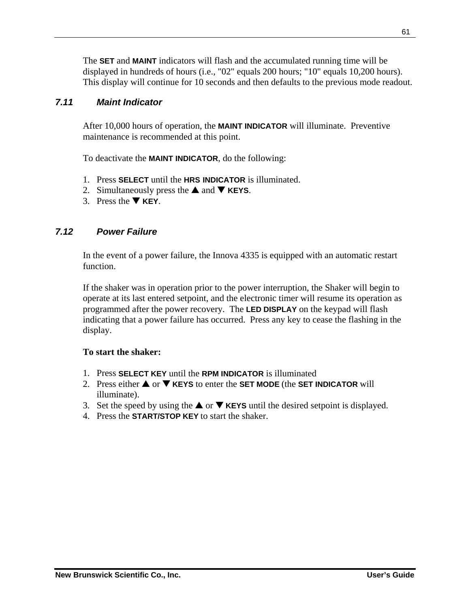The **SET** and **MAINT** indicators will flash and the accumulated running time will be displayed in hundreds of hours (i.e., "02" equals 200 hours; "10" equals 10,200 hours). This display will continue for 10 seconds and then defaults to the previous mode readout.

## *7.11 Maint Indicator*

After 10,000 hours of operation, the **MAINT INDICATOR** will illuminate. Preventive maintenance is recommended at this point.

To deactivate the **MAINT INDICATOR**, do the following:

- 1. Press **SELECT** until the **HRS INDICATOR** is illuminated.
- 2. Simultaneously press the  $\triangle$  and  $\nabla$  **KEYS**.
- 3. Press the W **KEY**.

### *7.12 Power Failure*

In the event of a power failure, the Innova 4335 is equipped with an automatic restart function.

If the shaker was in operation prior to the power interruption, the Shaker will begin to operate at its last entered setpoint, and the electronic timer will resume its operation as programmed after the power recovery. The **LED DISPLAY** on the keypad will flash indicating that a power failure has occurred. Press any key to cease the flashing in the display.

#### **To start the shaker:**

- 1. Press **SELECT KEY** until the **RPM INDICATOR** is illuminated
- 2. Press either **△** or ▼ **KEYS** to enter the **SET MODE** (the **SET INDICATOR** will illuminate).
- 3. Set the speed by using the  $\triangle$  or  $\nabla$  **KEYS** until the desired setpoint is displayed.
- 4. Press the **START/STOP KEY** to start the shaker.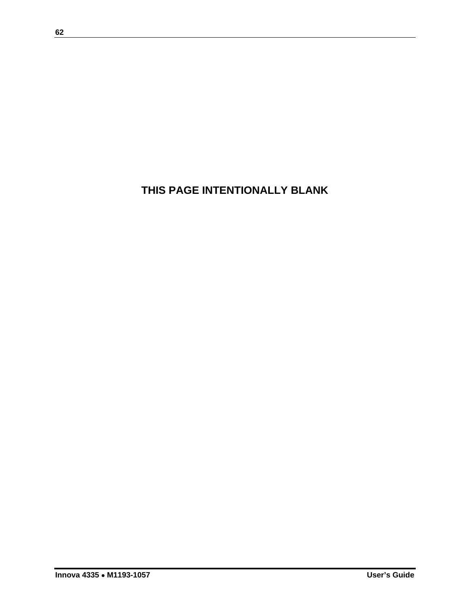**THIS PAGE INTENTIONALLY BLANK**

<u> 1989 - Johann Stoff, deutscher Stoffen und der Stoffen und der Stoffen und der Stoffen und der Stoffen und der</u>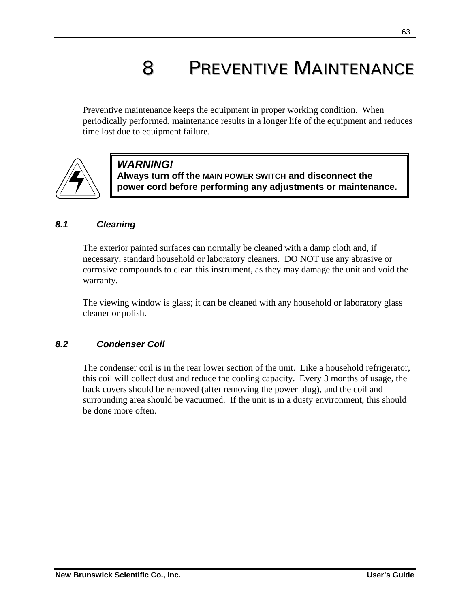# 8 PREVENTIVE MAINTENANCE

Preventive maintenance keeps the equipment in proper working condition. When periodically performed, maintenance results in a longer life of the equipment and reduces time lost due to equipment failure.



# *WARNING!*

**Always turn off the MAIN POWER SWITCH and disconnect the power cord before performing any adjustments or maintenance.**

# *8.1 Cleaning*

The exterior painted surfaces can normally be cleaned with a damp cloth and, if necessary, standard household or laboratory cleaners. DO NOT use any abrasive or corrosive compounds to clean this instrument, as they may damage the unit and void the warranty.

The viewing window is glass; it can be cleaned with any household or laboratory glass cleaner or polish.

# *8.2 Condenser Coil*

The condenser coil is in the rear lower section of the unit. Like a household refrigerator, this coil will collect dust and reduce the cooling capacity. Every 3 months of usage, the back covers should be removed (after removing the power plug), and the coil and surrounding area should be vacuumed. If the unit is in a dusty environment, this should be done more often.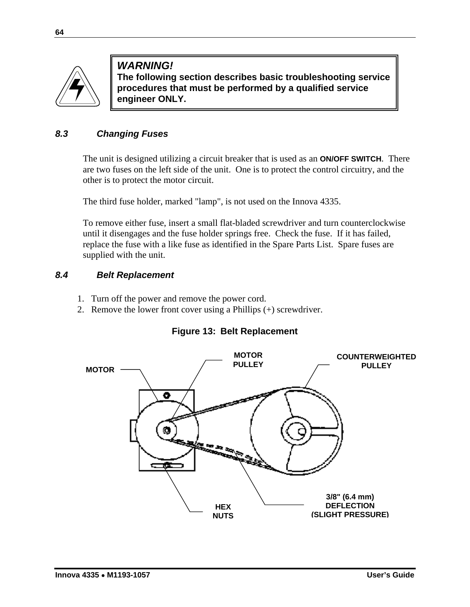

*WARNING!*  **The following section describes basic troubleshooting service procedures that must be performed by a qualified service engineer ONLY.** 

# *8.3 Changing Fuses*

The unit is designed utilizing a circuit breaker that is used as an **ON/OFF SWITCH**. There are two fuses on the left side of the unit. One is to protect the control circuitry, and the other is to protect the motor circuit.

The third fuse holder, marked "lamp", is not used on the Innova 4335.

To remove either fuse, insert a small flat-bladed screwdriver and turn counterclockwise until it disengages and the fuse holder springs free. Check the fuse. If it has failed, replace the fuse with a like fuse as identified in the Spare Parts List. Spare fuses are supplied with the unit.

### *8.4 Belt Replacement*

- 1. Turn off the power and remove the power cord.
- 2. Remove the lower front cover using a Phillips (+) screwdriver.

**Figure 13: Belt Replacement** 

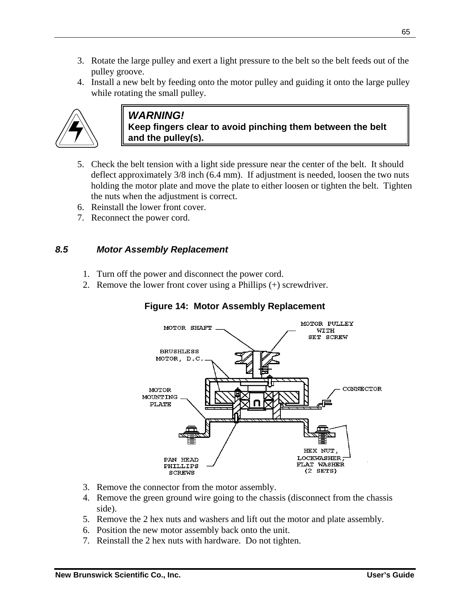- 3. Rotate the large pulley and exert a light pressure to the belt so the belt feeds out of the pulley groove.
- 4. Install a new belt by feeding onto the motor pulley and guiding it onto the large pulley while rotating the small pulley.



*WARNING!*  **Keep fingers clear to avoid pinching them between the belt and the pulley(s).**

- 5. Check the belt tension with a light side pressure near the center of the belt. It should deflect approximately 3/8 inch (6.4 mm). If adjustment is needed, loosen the two nuts holding the motor plate and move the plate to either loosen or tighten the belt. Tighten the nuts when the adjustment is correct.
- 6. Reinstall the lower front cover.
- 7. Reconnect the power cord.

# *8.5 Motor Assembly Replacement*

- 1. Turn off the power and disconnect the power cord.
- 2. Remove the lower front cover using a Phillips (+) screwdriver.





- 3. Remove the connector from the motor assembly.
- 4. Remove the green ground wire going to the chassis (disconnect from the chassis side).
- 5. Remove the 2 hex nuts and washers and lift out the motor and plate assembly.
- 6. Position the new motor assembly back onto the unit.
- 7. Reinstall the 2 hex nuts with hardware. Do not tighten.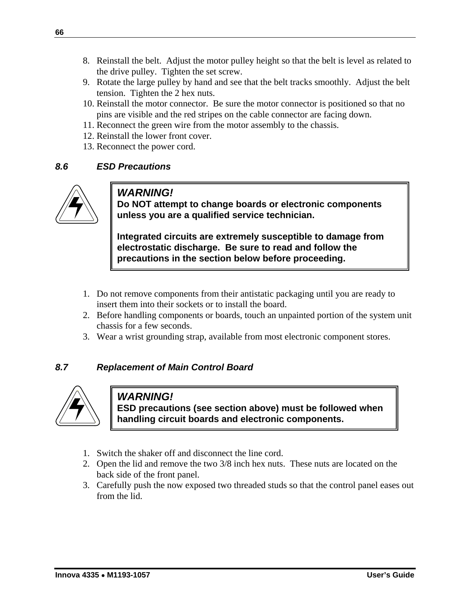- 8. Reinstall the belt. Adjust the motor pulley height so that the belt is level as related to the drive pulley. Tighten the set screw.
- 9. Rotate the large pulley by hand and see that the belt tracks smoothly. Adjust the belt tension. Tighten the 2 hex nuts.
- 10. Reinstall the motor connector. Be sure the motor connector is positioned so that no pins are visible and the red stripes on the cable connector are facing down.
- 11. Reconnect the green wire from the motor assembly to the chassis.
- 12. Reinstall the lower front cover.
- 13. Reconnect the power cord.

### *8.6 ESD Precautions*



# *WARNING!*

**Do NOT attempt to change boards or electronic components unless you are a qualified service technician.** 

**Integrated circuits are extremely susceptible to damage from electrostatic discharge. Be sure to read and follow the precautions in the section below before proceeding.**

- 1. Do not remove components from their antistatic packaging until you are ready to insert them into their sockets or to install the board.
- 2. Before handling components or boards, touch an unpainted portion of the system unit chassis for a few seconds.
- 3. Wear a wrist grounding strap, available from most electronic component stores.

# *8.7 Replacement of Main Control Board*



*WARNING!*  **ESD precautions (see section above) must be followed when handling circuit boards and electronic components.** 

- 1. Switch the shaker off and disconnect the line cord.
- 2. Open the lid and remove the two 3/8 inch hex nuts. These nuts are located on the back side of the front panel.
- 3. Carefully push the now exposed two threaded studs so that the control panel eases out from the lid.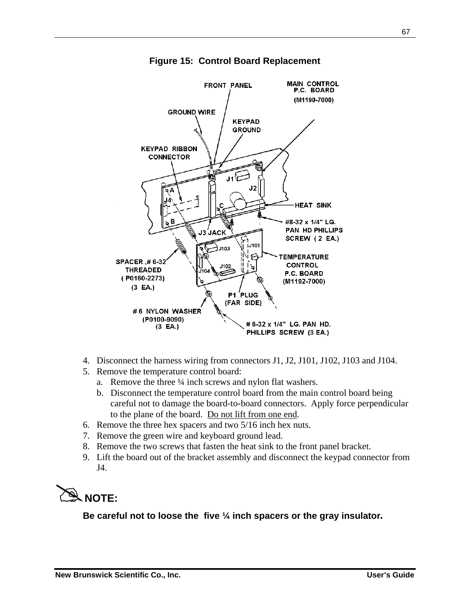

**Figure 15: Control Board Replacement** 

- 4. Disconnect the harness wiring from connectors J1, J2, J101, J102, J103 and J104.
- 5. Remove the temperature control board:
	- a. Remove the three ¼ inch screws and nylon flat washers.
	- b. Disconnect the temperature control board from the main control board being careful not to damage the board-to-board connectors. Apply force perpendicular to the plane of the board. Do not lift from one end.
- 6. Remove the three hex spacers and two 5/16 inch hex nuts.
- 7. Remove the green wire and keyboard ground lead.
- 8. Remove the two screws that fasten the heat sink to the front panel bracket.
- 9. Lift the board out of the bracket assembly and disconnect the keypad connector from J4.



**Be careful not to loose the five ¼ inch spacers or the gray insulator***.*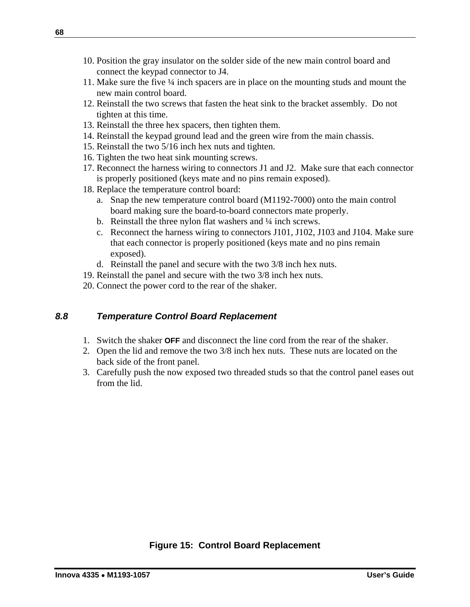- 11. Make sure the five ¼ inch spacers are in place on the mounting studs and mount the new main control board.
- 12. Reinstall the two screws that fasten the heat sink to the bracket assembly. Do not tighten at this time.
- 13. Reinstall the three hex spacers, then tighten them.
- 14. Reinstall the keypad ground lead and the green wire from the main chassis.
- 15. Reinstall the two 5/16 inch hex nuts and tighten.
- 16. Tighten the two heat sink mounting screws.
- 17. Reconnect the harness wiring to connectors J1 and J2. Make sure that each connector is properly positioned (keys mate and no pins remain exposed).
- 18. Replace the temperature control board:
	- a. Snap the new temperature control board (M1192-7000) onto the main control board making sure the board-to-board connectors mate properly.
	- b. Reinstall the three nylon flat washers and  $\frac{1}{4}$  inch screws.
	- c. Reconnect the harness wiring to connectors J101, J102, J103 and J104. Make sure that each connector is properly positioned (keys mate and no pins remain exposed).
	- d. Reinstall the panel and secure with the two 3/8 inch hex nuts.
- 19. Reinstall the panel and secure with the two 3/8 inch hex nuts.
- 20. Connect the power cord to the rear of the shaker.

# *8.8 Temperature Control Board Replacement*

- 1. Switch the shaker **OFF** and disconnect the line cord from the rear of the shaker.
- 2. Open the lid and remove the two 3/8 inch hex nuts. These nuts are located on the back side of the front panel.
- 3. Carefully push the now exposed two threaded studs so that the control panel eases out from the lid.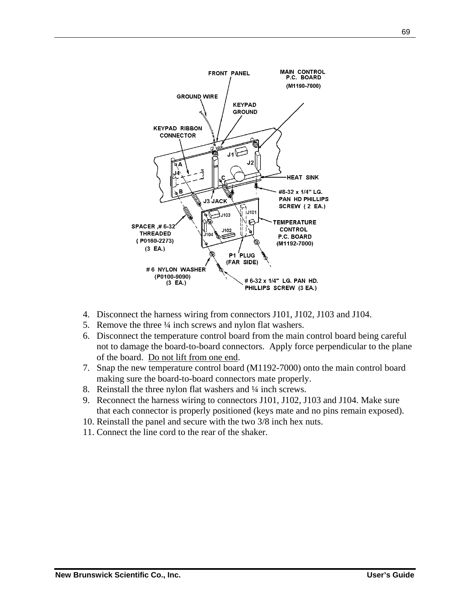

- 4. Disconnect the harness wiring from connectors J101, J102, J103 and J104.
- 5. Remove the three ¼ inch screws and nylon flat washers.
- 6. Disconnect the temperature control board from the main control board being careful not to damage the board-to-board connectors. Apply force perpendicular to the plane of the board. Do not lift from one end.
- 7. Snap the new temperature control board (M1192-7000) onto the main control board making sure the board-to-board connectors mate properly.
- 8. Reinstall the three nylon flat washers and ¼ inch screws.
- 9. Reconnect the harness wiring to connectors J101, J102, J103 and J104. Make sure that each connector is properly positioned (keys mate and no pins remain exposed).
- 10. Reinstall the panel and secure with the two 3/8 inch hex nuts.
- 11. Connect the line cord to the rear of the shaker.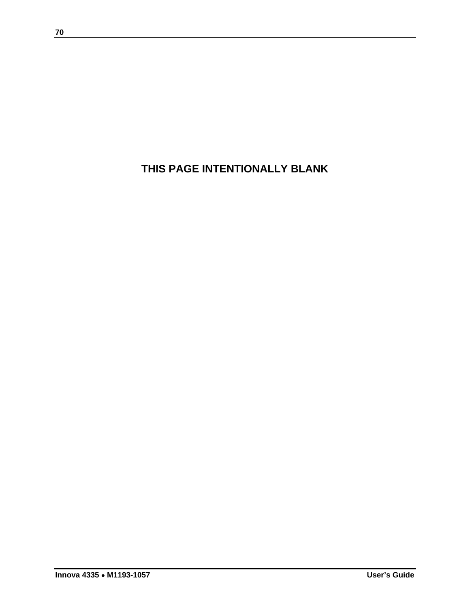**THIS PAGE INTENTIONALLY BLANK**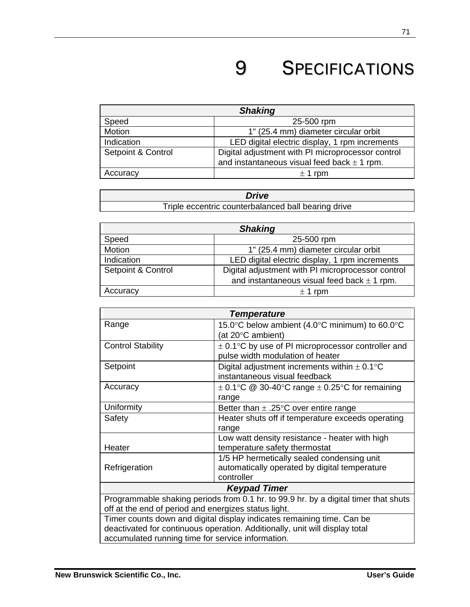# 9 SPECIFICATIONS

| <b>Shaking</b>                |                                                   |  |
|-------------------------------|---------------------------------------------------|--|
| Speed                         | 25-500 rpm                                        |  |
| Motion                        | 1" (25.4 mm) diameter circular orbit              |  |
| Indication                    | LED digital electric display, 1 rpm increments    |  |
| <b>Setpoint &amp; Control</b> | Digital adjustment with PI microprocessor control |  |
|                               | and instantaneous visual feed back $\pm$ 1 rpm.   |  |
| Accuracy                      | $\pm$ 1 rpm                                       |  |

*Drive*  Triple eccentric counterbalanced ball bearing drive

| <b>Shaking</b>     |                                                   |  |
|--------------------|---------------------------------------------------|--|
| Speed              | 25-500 rpm                                        |  |
| Motion             | 1" (25.4 mm) diameter circular orbit              |  |
| Indication         | LED digital electric display, 1 rpm increments    |  |
| Setpoint & Control | Digital adjustment with PI microprocessor control |  |
|                    | and instantaneous visual feed back $\pm$ 1 rpm.   |  |
| Accuracy           | $\pm$ 1 rpm                                       |  |

| <b>Temperature</b>                                                                  |                                                                  |  |
|-------------------------------------------------------------------------------------|------------------------------------------------------------------|--|
| Range                                                                               | 15.0°C below ambient (4.0°C minimum) to 60.0°C                   |  |
|                                                                                     | (at $20^{\circ}$ C ambient)                                      |  |
| <b>Control Stability</b>                                                            | $\pm$ 0.1 $\degree$ C by use of PI microprocessor controller and |  |
|                                                                                     | pulse width modulation of heater                                 |  |
| Setpoint                                                                            | Digital adjustment increments within $\pm$ 0.1 $\degree$ C       |  |
|                                                                                     | instantaneous visual feedback                                    |  |
| Accuracy                                                                            | $\pm$ 0.1°C @ 30-40°C range $\pm$ 0.25°C for remaining           |  |
|                                                                                     | range                                                            |  |
| Uniformity                                                                          | Better than $\pm$ .25°C over entire range                        |  |
| Safety                                                                              | Heater shuts off if temperature exceeds operating                |  |
|                                                                                     | range                                                            |  |
|                                                                                     | Low watt density resistance - heater with high                   |  |
| Heater                                                                              | temperature safety thermostat                                    |  |
|                                                                                     | 1/5 HP hermetically sealed condensing unit                       |  |
| Refrigeration                                                                       | automatically operated by digital temperature                    |  |
|                                                                                     | controller                                                       |  |
| <b>Keypad Timer</b>                                                                 |                                                                  |  |
| Programmable shaking periods from 0.1 hr. to 99.9 hr. by a digital timer that shuts |                                                                  |  |
| off at the end of period and energizes status light.                                |                                                                  |  |
| Timer counts down and digital display indicates remaining time. Can be              |                                                                  |  |
| deactivated for continuous operation. Additionally, unit will display total         |                                                                  |  |
| accumulated running time for service information.                                   |                                                                  |  |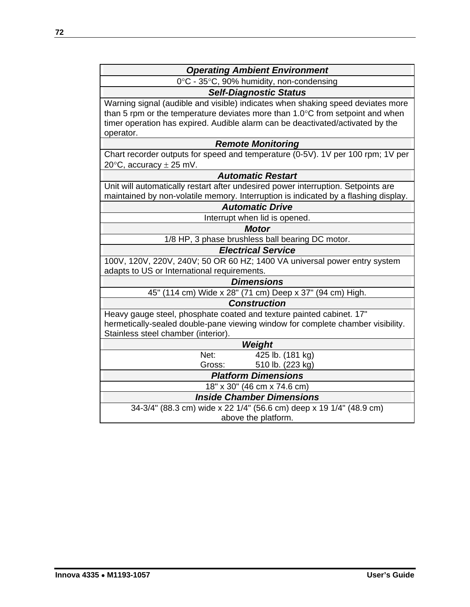0°C - 35°C, 90% humidity, non-condensing

#### *Self-Diagnostic Status*

Warning signal (audible and visible) indicates when shaking speed deviates more than 5 rpm or the temperature deviates more than 1.0°C from setpoint and when timer operation has expired. Audible alarm can be deactivated/activated by the operator.

#### *Remote Monitoring*

Chart recorder outputs for speed and temperature (0-5V). 1V per 100 rpm; 1V per 20 $\degree$ C, accuracy  $\pm$  25 mV.

#### *Automatic Restart*

Unit will automatically restart after undesired power interruption. Setpoints are maintained by non-volatile memory. Interruption is indicated by a flashing display.

#### *Automatic Drive*

Interrupt when lid is opened.

#### *Motor*

1/8 HP, 3 phase brushless ball bearing DC motor.

#### *Electrical Service*

100V, 120V, 220V, 240V; 50 OR 60 HZ; 1400 VA universal power entry system adapts to US or International requirements.

#### *Dimensions*

45" (114 cm) Wide x 28" (71 cm) Deep x 37" (94 cm) High.

#### *Construction*

Heavy gauge steel, phosphate coated and texture painted cabinet. 17" hermetically-sealed double-pane viewing window for complete chamber visibility. Stainless steel chamber (interior).

| <b>Weight</b>                                                       |                  |  |
|---------------------------------------------------------------------|------------------|--|
| Net:                                                                | 425 lb. (181 kg) |  |
| Gross:                                                              | 510 lb. (223 kg) |  |
| <b>Platform Dimensions</b>                                          |                  |  |
| 18" x 30" (46 cm x 74.6 cm)                                         |                  |  |
| <b>Inside Chamber Dimensions</b>                                    |                  |  |
| 34-3/4" (88.3 cm) wide x 22 1/4" (56.6 cm) deep x 19 1/4" (48.9 cm) |                  |  |
| above the platform.                                                 |                  |  |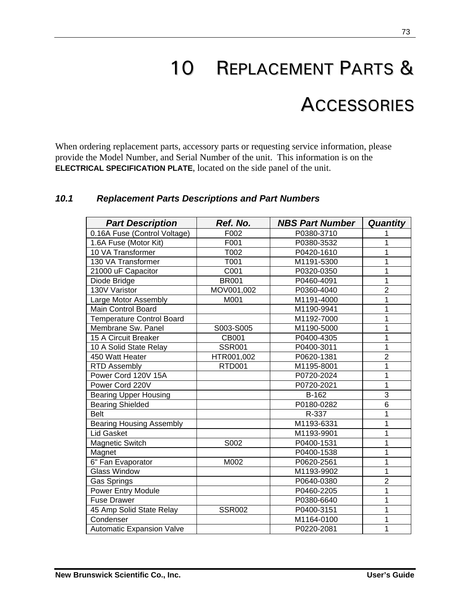# 10 REPLACEMENT PARTS &

# **ACCESSORIES**

When ordering replacement parts, accessory parts or requesting service information, please provide the Model Number, and Serial Number of the unit. This information is on the **ELECTRICAL SPECIFICATION PLATE**, located on the side panel of the unit.

#### *10.1 Replacement Parts Descriptions and Part Numbers*

| <b>Part Description</b>          | Ref. No.      | <b>NBS Part Number</b> | <b>Quantity</b> |
|----------------------------------|---------------|------------------------|-----------------|
| 0.16A Fuse (Control Voltage)     | F002          | P0380-3710             | 1               |
| 1.6A Fuse (Motor Kit)            | F001          | P0380-3532             | 1               |
| 10 VA Transformer                | T002          | P0420-1610             | 1               |
| 130 VA Transformer               | T001          | M1191-5300             | 1               |
| 21000 uF Capacitor               | C001          | P0320-0350             | 1               |
| Diode Bridge                     | <b>BR001</b>  | P0460-4091             | 1               |
| 130V Varistor                    | MOV001,002    | P0360-4040             | $\overline{2}$  |
| Large Motor Assembly             | M001          | M1191-4000             | 1               |
| <b>Main Control Board</b>        |               | M1190-9941             | 1               |
| <b>Temperature Control Board</b> |               | M1192-7000             | 1               |
| Membrane Sw. Panel               | S003-S005     | M1190-5000             | 1               |
| 15 A Circuit Breaker             | CB001         | P0400-4305             | 1               |
| 10 A Solid State Relay           | <b>SSR001</b> | P0400-3011             | 1               |
| 450 Watt Heater                  | HTR001,002    | P0620-1381             | $\overline{2}$  |
| <b>RTD Assembly</b>              | <b>RTD001</b> | M1195-8001             | 1               |
| Power Cord 120V 15A              |               | P0720-2024             | 1               |
| Power Cord 220V                  |               | P0720-2021             | 1               |
| <b>Bearing Upper Housing</b>     |               | B-162                  | $\overline{3}$  |
| <b>Bearing Shielded</b>          |               | P0180-0282             | 6               |
| <b>Belt</b>                      |               | R-337                  | 1               |
| <b>Bearing Housing Assembly</b>  |               | M1193-6331             | 1               |
| <b>Lid Gasket</b>                |               | M1193-9901             | 1               |
| <b>Magnetic Switch</b>           | S002          | P0400-1531             | 1               |
| Magnet                           |               | P0400-1538             | 1               |
| 6" Fan Evaporator                | M002          | P0620-2561             | 1               |
| <b>Glass Window</b>              |               | M1193-9902             | 1               |
| Gas Springs                      |               | P0640-0380             | $\overline{2}$  |
| <b>Power Entry Module</b>        |               | P0460-2205             | 1               |
| <b>Fuse Drawer</b>               |               | P0380-6640             | 1               |
| 45 Amp Solid State Relay         | <b>SSR002</b> | P0400-3151             | 1               |
| Condenser                        |               | M1164-0100             | 1               |
| Automatic Expansion Valve        |               | P0220-2081             | 1               |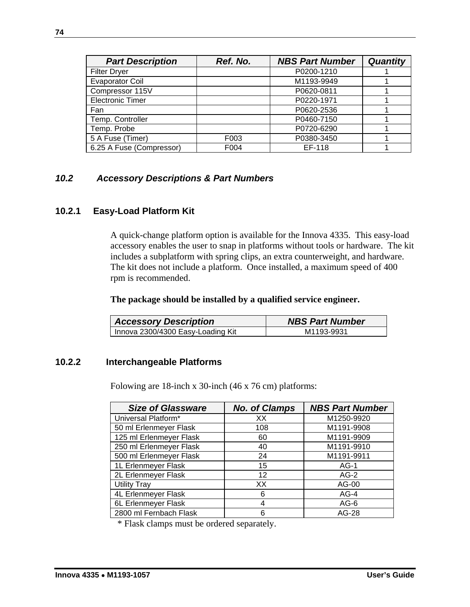| <b>Part Description</b>  | Ref. No. | <b>NBS Part Number</b> | <b>Quantity</b> |
|--------------------------|----------|------------------------|-----------------|
| <b>Filter Dryer</b>      |          | P0200-1210             |                 |
| <b>Evaporator Coil</b>   |          | M1193-9949             |                 |
| Compressor 115V          |          | P0620-0811             |                 |
| <b>Electronic Timer</b>  |          | P0220-1971             |                 |
| Fan                      |          | P0620-2536             |                 |
| Temp. Controller         |          | P0460-7150             |                 |
| Temp. Probe              |          | P0720-6290             |                 |
| 5 A Fuse (Timer)         | F003     | P0380-3450             |                 |
| 6.25 A Fuse (Compressor) | F004     | EF-118                 |                 |

#### *10.2 Accessory Descriptions & Part Numbers*

#### **10.2.1 Easy-Load Platform Kit**

A quick-change platform option is available for the Innova 4335. This easy-load accessory enables the user to snap in platforms without tools or hardware. The kit includes a subplatform with spring clips, an extra counterweight, and hardware. The kit does not include a platform. Once installed, a maximum speed of 400 rpm is recommended.

#### **The package should be installed by a qualified service engineer.**

| <b>Accessory Description</b>      | <b>NBS Part Number</b> |
|-----------------------------------|------------------------|
| Innova 2300/4300 Easy-Loading Kit | M1193-9931             |

#### **10.2.2 Interchangeable Platforms**

Folowing are 18-inch x 30-inch (46 x 76 cm) platforms:

| <b>Size of Glassware</b> | <b>No. of Clamps</b> | <b>NBS Part Number</b> |
|--------------------------|----------------------|------------------------|
| Universal Platform*      | ХX                   | M1250-9920             |
| 50 ml Erlenmeyer Flask   | 108                  | M1191-9908             |
| 125 ml Erlenmeyer Flask  | 60                   | M1191-9909             |
| 250 ml Erlenmeyer Flask  | 40                   | M1191-9910             |
| 500 ml Erlenmeyer Flask  | 24                   | M1191-9911             |
| 1L Erlenmeyer Flask      | 15                   | $AG-1$                 |
| 2L Erlenmeyer Flask      | 12                   | $AG-2$                 |
| <b>Utility Tray</b>      | XX                   | AG-00                  |
| 4L Erlenmeyer Flask      | 6                    | $AG-4$                 |
| 6L Erlenmeyer Flask      | 4                    | $AG-6$                 |
| 2800 ml Fernbach Flask   | 6                    | AG-28                  |

\* Flask clamps must be ordered separately.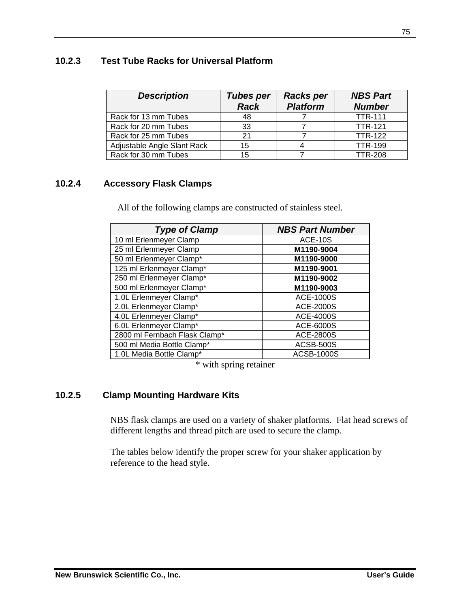| <b>Description</b>          | <b>Tubes per</b><br><b>Rack</b> | <b>Racks per</b><br><b>Platform</b> | <b>NBS Part</b><br><b>Number</b> |
|-----------------------------|---------------------------------|-------------------------------------|----------------------------------|
| Rack for 13 mm Tubes        | 48                              |                                     | <b>TTR-111</b>                   |
| Rack for 20 mm Tubes        | -33                             |                                     | <b>TTR-121</b>                   |
| Rack for 25 mm Tubes        | 21                              |                                     | <b>TTR-122</b>                   |
| Adjustable Angle Slant Rack | 15                              |                                     | <b>TTR-199</b>                   |
| Rack for 30 mm Tubes        | 15                              |                                     | <b>TTR-208</b>                   |

#### **10.2.4 Accessory Flask Clamps**

All of the following clamps are constructed of stainless steel.

| <b>Type of Clamp</b>          | <b>NBS Part Number</b> |
|-------------------------------|------------------------|
| 10 ml Erlenmeyer Clamp        | ACE-10S                |
| 25 ml Erlenmeyer Clamp        | M1190-9004             |
| 50 ml Erlenmeyer Clamp*       | M1190-9000             |
| 125 ml Erlenmeyer Clamp*      | M1190-9001             |
| 250 ml Erlenmeyer Clamp*      | M1190-9002             |
| 500 ml Erlenmeyer Clamp*      | M1190-9003             |
| 1.0L Erlenmeyer Clamp*        | <b>ACE-1000S</b>       |
| 2.0L Erlenmeyer Clamp*        | <b>ACE-2000S</b>       |
| 4.0L Erlenmeyer Clamp*        | <b>ACE-4000S</b>       |
| 6.0L Erlenmeyer Clamp*        | ACE-6000S              |
| 2800 ml Fernbach Flask Clamp* | <b>ACE-2800S</b>       |
| 500 ml Media Bottle Clamp*    | <b>ACSB-500S</b>       |
| 1.0L Media Bottle Clamp*      | <b>ACSB-1000S</b>      |

\* with spring retainer

#### **10.2.5 Clamp Mounting Hardware Kits**

NBS flask clamps are used on a variety of shaker platforms. Flat head screws of different lengths and thread pitch are used to secure the clamp.

The tables below identify the proper screw for your shaker application by reference to the head style.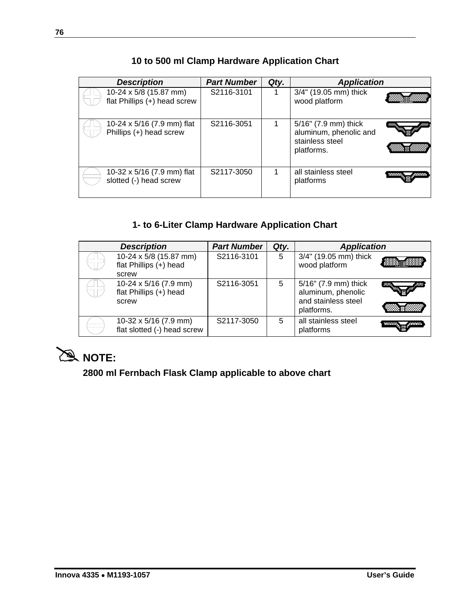| <b>Description</b>                                     | <b>Part Number</b> | Qty. | <b>Application</b>                                                              |  |
|--------------------------------------------------------|--------------------|------|---------------------------------------------------------------------------------|--|
| 10-24 x 5/8 (15.87 mm)<br>flat Phillips (+) head screw | S2116-3101         |      | 3/4" (19.05 mm) thick<br>wood platform                                          |  |
| 10-24 x 5/16 (7.9 mm) flat<br>Phillips (+) head screw  | S2116-3051         |      | 5/16" (7.9 mm) thick<br>aluminum, phenolic and<br>stainless steel<br>platforms. |  |
| 10-32 x 5/16 (7.9 mm) flat<br>slotted (-) head screw   | S2117-3050         |      | all stainless steel<br>platforms                                                |  |

#### **10 to 500 ml Clamp Hardware Application Chart**

## **1- to 6-Liter Clamp Hardware Application Chart**

| <b>Description</b>                                        | <b>Part Number</b> | Qty. | <b>Application</b>                                                              |  |
|-----------------------------------------------------------|--------------------|------|---------------------------------------------------------------------------------|--|
| 10-24 x 5/8 (15.87 mm)<br>flat Phillips (+) head<br>screw | S2116-3101         | 5    | 3/4" (19.05 mm) thick<br>wood platform                                          |  |
| 10-24 x 5/16 (7.9 mm)<br>flat Phillips (+) head<br>screw  | S2116-3051         | 5    | 5/16" (7.9 mm) thick<br>aluminum, phenolic<br>and stainless steel<br>platforms. |  |
| 10-32 x $5/16$ (7.9 mm)<br>flat slotted (-) head screw    | S2117-3050         | 5    | all stainless steel<br>platforms                                                |  |

# # **NOTE:**

## **2800 ml Fernbach Flask Clamp applicable to above chart**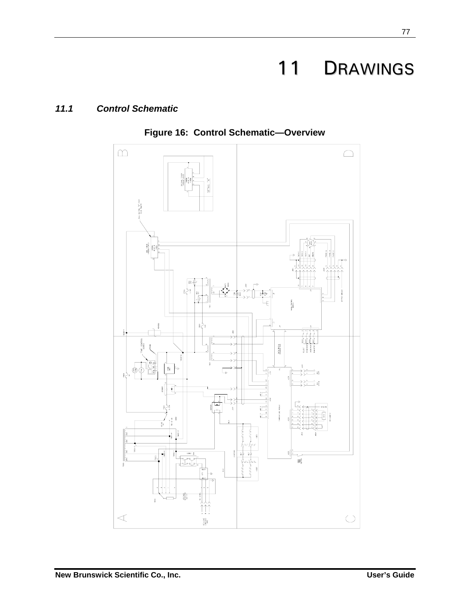# 11 DRAWINGS

#### *11.1 Control Schematic*



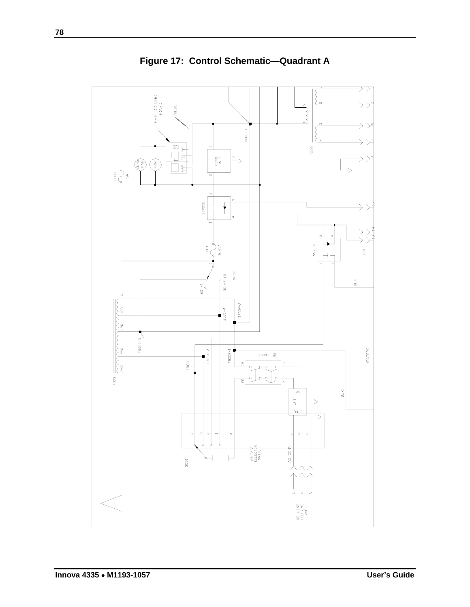

**Figure 17: Control Schematic—Quadrant A**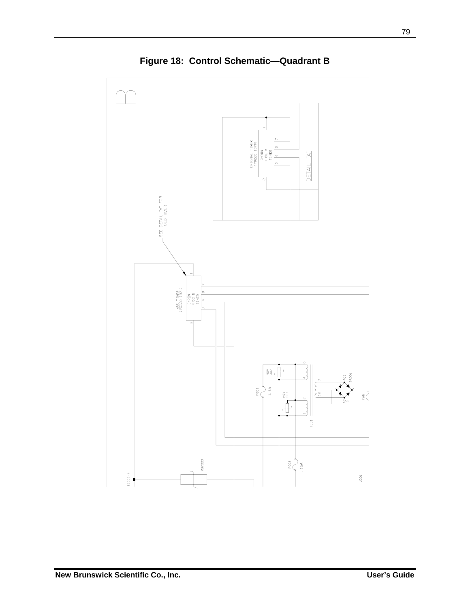

**Figure 18: Control Schematic—Quadrant B**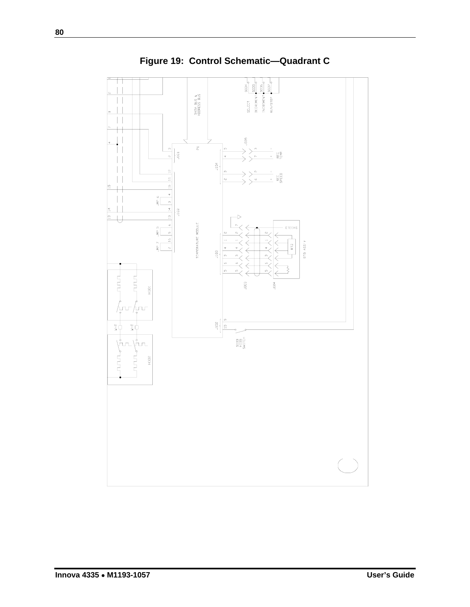

**Figure 19: Control Schematic—Quadrant C**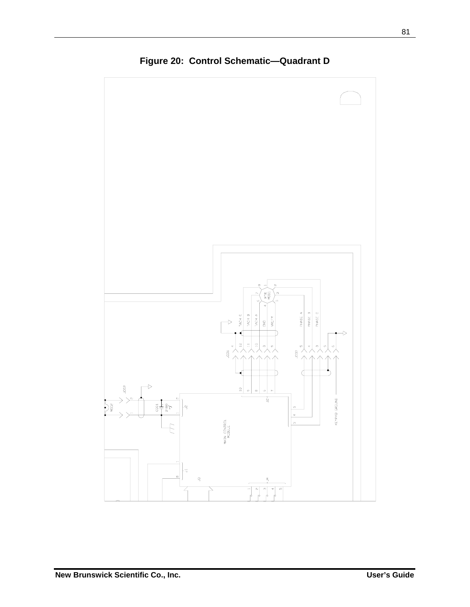

**Figure 20: Control Schematic—Quadrant D**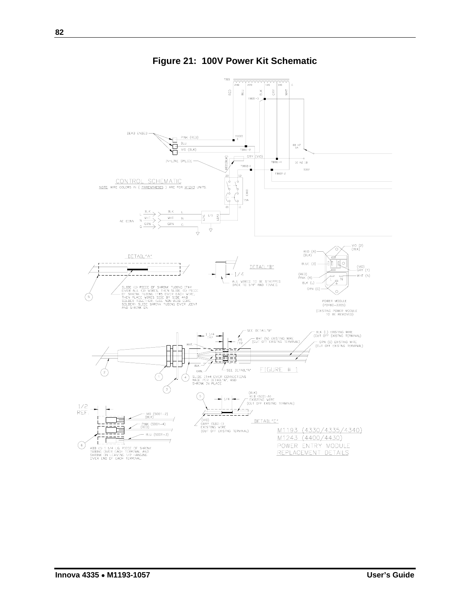

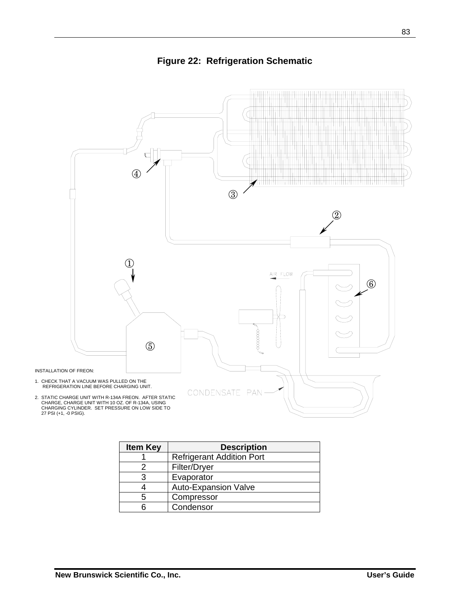**Figure 22: Refrigeration Schematic** 



| <b>Item Key</b> | <b>Description</b>               |
|-----------------|----------------------------------|
|                 | <b>Refrigerant Addition Port</b> |
|                 | Filter/Dryer                     |
| 3               | Evaporator                       |
|                 | <b>Auto-Expansion Valve</b>      |
| 5               | Compressor                       |
|                 | Condensor                        |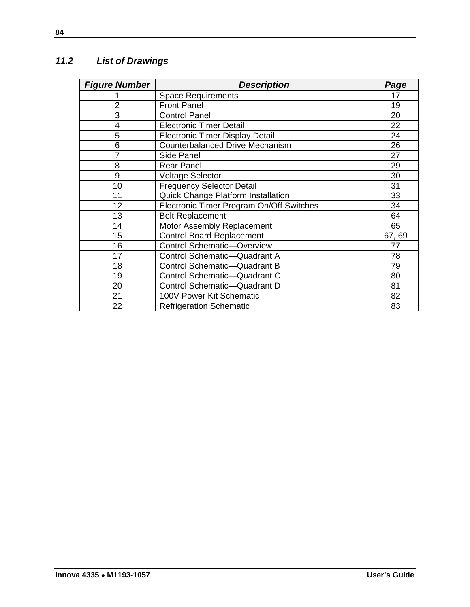## *11.2 List of Drawings*

| <b>Figure Number</b> | <b>Description</b>                       | Page  |
|----------------------|------------------------------------------|-------|
|                      | <b>Space Requirements</b>                | 17    |
| 2                    | <b>Front Panel</b>                       | 19    |
| 3                    | <b>Control Panel</b>                     | 20    |
| $\overline{4}$       | <b>Electronic Timer Detail</b>           | 22    |
| 5                    | <b>Electronic Timer Display Detail</b>   | 24    |
| 6                    | <b>Counterbalanced Drive Mechanism</b>   | 26    |
| $\overline{7}$       | Side Panel                               | 27    |
| 8                    | <b>Rear Panel</b>                        | 29    |
| 9                    | <b>Voltage Selector</b>                  | 30    |
| 10                   | <b>Frequency Selector Detail</b>         | 31    |
| 11                   | Quick Change Platform Installation       | 33    |
| 12                   | Electronic Timer Program On/Off Switches | 34    |
| 13                   | <b>Belt Replacement</b>                  | 64    |
| 14                   | Motor Assembly Replacement               | 65    |
| 15                   | <b>Control Board Replacement</b>         | 67,69 |
| 16                   | <b>Control Schematic-Overview</b>        | 77    |
| 17                   | Control Schematic-Quadrant A             | 78    |
| 18                   | Control Schematic-Quadrant B             | 79    |
| 19                   | Control Schematic-Quadrant C             | 80    |
| 20                   | Control Schematic-Quadrant D             | 81    |
| 21                   | 100V Power Kit Schematic                 | 82    |
| 22                   | <b>Refrigeration Schematic</b>           | 83    |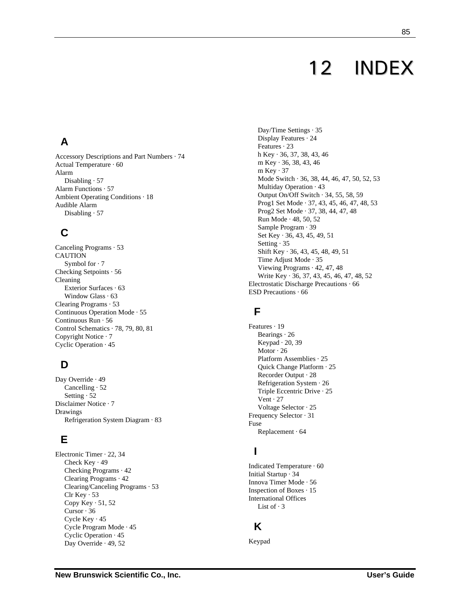# 12 INDEX

## **A**

Accessory Descriptions and Part Numbers · 74 Actual Temperature · 60 Alarm Disabling · 57 Alarm Functions · 57 Ambient Operating Conditions · 18 Audible Alarm Disabling · 57

# **C**

Canceling Programs · 53 CAUTION Symbol for  $\cdot$  7 Checking Setpoints · 56 Cleaning Exterior Surfaces · 63 Window Glass · 63 Clearing Programs · 53 Continuous Operation Mode · 55 Continuous Run · 56 Control Schematics · 78, 79, 80, 81 Copyright Notice · 7 Cyclic Operation · 45

# **D**

Day Override · 49 Cancelling · 52 Setting · 52 Disclaimer Notice · 7 Drawings Refrigeration System Diagram · 83

# **E**

Electronic Timer · 22, 34 Check Key · 49 Checking Programs · 42 Clearing Programs · 42 Clearing/Canceling Programs · 53  $Clr$  Key  $\cdot$  53 Copy Key · 51, 52 Cursor · 36 Cycle Key · 45 Cycle Program Mode · 45 Cyclic Operation · 45 Day Override · 49, 52

Day/Time Settings · 35 Display Features · 24 Features · 23 h Key · 36, 37, 38, 43, 46 m Key · 36, 38, 43, 46 m Key · 37 Mode Switch · 36, 38, 44, 46, 47, 50, 52, 53 Multiday Operation · 43 Output On/Off Switch · 34, 55, 58, 59 Prog1 Set Mode · 37, 43, 45, 46, 47, 48, 53 Prog2 Set Mode · 37, 38, 44, 47, 48 Run Mode · 48, 50, 52 Sample Program · 39 Set Key · 36, 43, 45, 49, 51 Setting · 35 Shift Key · 36, 43, 45, 48, 49, 51 Time Adjust Mode · 35 Viewing Programs · 42, 47, 48 Write Key · 36, 37, 43, 45, 46, 47, 48, 52 Electrostatic Discharge Precautions · 66 ESD Precautions · 66

## **F**

Features · 19 Bearings · 26 Keypad · 20, 39 Motor · 26 Platform Assemblies · 25 Quick Change Platform · 25 Recorder Output · 28 Refrigeration System · 26 Triple Eccentric Drive · 25 Vent · 27 Voltage Selector · 25 Frequency Selector · 31 Fuse Replacement · 64

# **I**

Indicated Temperature · 60 Initial Startup · 34 Innova Timer Mode · 56 Inspection of Boxes · 15 International Offices List of  $\cdot$  3

# **K**

Keypad